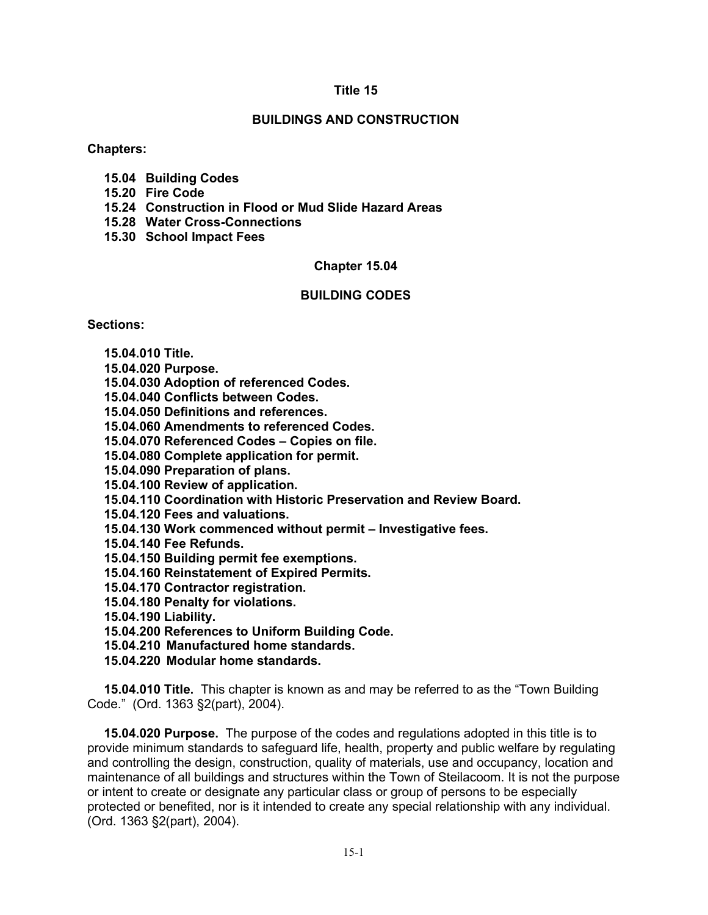## **Title 15**

## **BUILDINGS AND CONSTRUCTION**

**Chapters:**

- **15.04 Building Codes**
- **15.20 Fire Code**
- **15.24 Construction in Flood or Mud Slide Hazard Areas**
- **15.28 Water Cross-Connections**
- **15.30 School Impact Fees**

## **Chapter 15.04**

# **BUILDING CODES**

### **Sections:**

- **15.04.010 Title.**
- **15.04.020 Purpose.**
- **15.04.030 Adoption of referenced Codes.**
- **15.04.040 Conflicts between Codes.**
- **15.04.050 Definitions and references.**
- **15.04.060 Amendments to referenced Codes.**
- **15.04.070 Referenced Codes – Copies on file.**
- **15.04.080 Complete application for permit.**
- **15.04.090 Preparation of plans.**
- **15.04.100 Review of application.**
- **15.04.110 Coordination with Historic Preservation and Review Board.**
- **15.04.120 Fees and valuations.**
- **15.04.130 Work commenced without permit – Investigative fees.**
- **15.04.140 Fee Refunds.**
- **15.04.150 Building permit fee exemptions.**
- **15.04.160 Reinstatement of Expired Permits.**
- **15.04.170 Contractor registration.**
- **15.04.180 Penalty for violations.**
- **15.04.190 Liability.**
- **15.04.200 References to Uniform Building Code.**
- **15.04.210 Manufactured home standards.**
- **15.04.220 Modular home standards.**

**15.04.010 Title.** This chapter is known as and may be referred to as the "Town Building Code." (Ord. 1363 §2(part), 2004).

**15.04.020 Purpose.** The purpose of the codes and regulations adopted in this title is to provide minimum standards to safeguard life, health, property and public welfare by regulating and controlling the design, construction, quality of materials, use and occupancy, location and maintenance of all buildings and structures within the Town of Steilacoom. It is not the purpose or intent to create or designate any particular class or group of persons to be especially protected or benefited, nor is it intended to create any special relationship with any individual. (Ord. 1363 §2(part), 2004).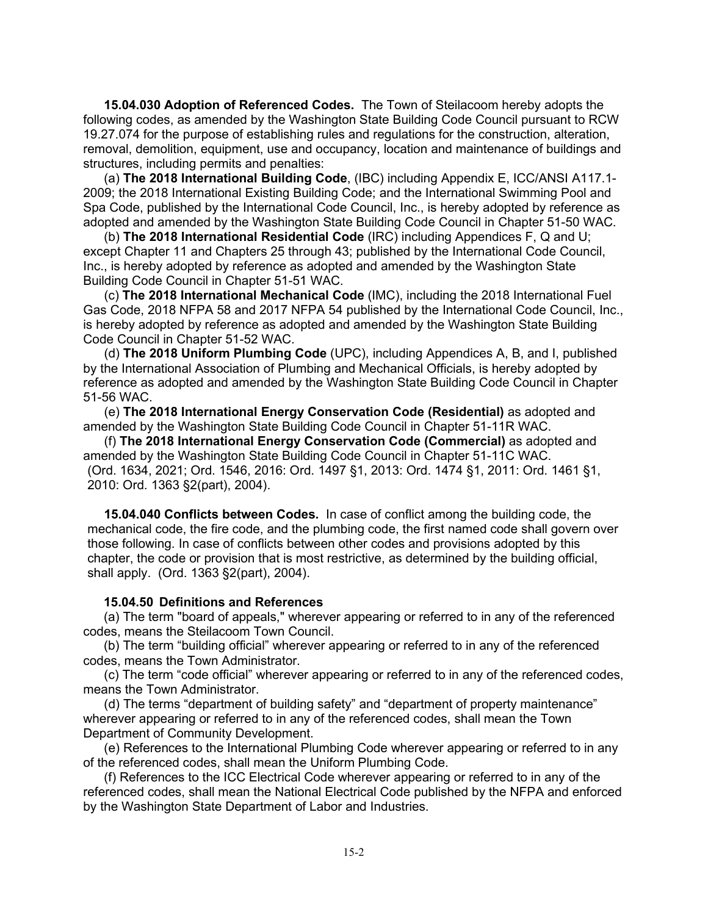**15.04.030 Adoption of Referenced Codes.** The Town of Steilacoom hereby adopts the following codes, as amended by the Washington State Building Code Council pursuant to RCW 19.27.074 for the purpose of establishing rules and regulations for the construction, alteration, removal, demolition, equipment, use and occupancy, location and maintenance of buildings and structures, including permits and penalties:

(a) **The 2018 International Building Code**, (IBC) including Appendix E, ICC/ANSI A117.1- 2009; the 2018 International Existing Building Code; and the International Swimming Pool and Spa Code, published by the International Code Council, Inc., is hereby adopted by reference as adopted and amended by the Washington State Building Code Council in Chapter 51-50 WAC.

(b) **The 2018 International Residential Code** (IRC) including Appendices F, Q and U; except Chapter 11 and Chapters 25 through 43; published by the International Code Council, Inc., is hereby adopted by reference as adopted and amended by the Washington State Building Code Council in Chapter 51-51 WAC.

(c) **The 2018 International Mechanical Code** (IMC), including the 2018 International Fuel Gas Code, 2018 NFPA 58 and 2017 NFPA 54 published by the International Code Council, Inc., is hereby adopted by reference as adopted and amended by the Washington State Building Code Council in Chapter 51-52 WAC.

(d) **The 2018 Uniform Plumbing Code** (UPC), including Appendices A, B, and I, published by the International Association of Plumbing and Mechanical Officials, is hereby adopted by reference as adopted and amended by the Washington State Building Code Council in Chapter 51-56 WAC.

(e) **The 2018 International Energy Conservation Code (Residential)** as adopted and amended by the Washington State Building Code Council in Chapter 51-11R WAC.

(f) **The 2018 International Energy Conservation Code (Commercial)** as adopted and amended by the Washington State Building Code Council in Chapter 51-11C WAC. (Ord. 1634, 2021; Ord. 1546, 2016: Ord. 1497 §1, 2013: Ord. 1474 §1, 2011: Ord. 1461 §1, 2010: Ord. 1363 §2(part), 2004).

**15.04.040 Conflicts between Codes.** In case of conflict among the building code, the mechanical code, the fire code, and the plumbing code, the first named code shall govern over those following. In case of conflicts between other codes and provisions adopted by this chapter, the code or provision that is most restrictive, as determined by the building official, shall apply. (Ord. 1363 §2(part), 2004).

### **15.04.50 Definitions and References**

(a) The term "board of appeals," wherever appearing or referred to in any of the referenced codes, means the Steilacoom Town Council.

(b) The term "building official" wherever appearing or referred to in any of the referenced codes, means the Town Administrator.

(c) The term "code official" wherever appearing or referred to in any of the referenced codes, means the Town Administrator.

(d) The terms "department of building safety" and "department of property maintenance" wherever appearing or referred to in any of the referenced codes, shall mean the Town Department of Community Development.

(e) References to the International Plumbing Code wherever appearing or referred to in any of the referenced codes, shall mean the Uniform Plumbing Code.

(f) References to the ICC Electrical Code wherever appearing or referred to in any of the referenced codes, shall mean the National Electrical Code published by the NFPA and enforced by the Washington State Department of Labor and Industries.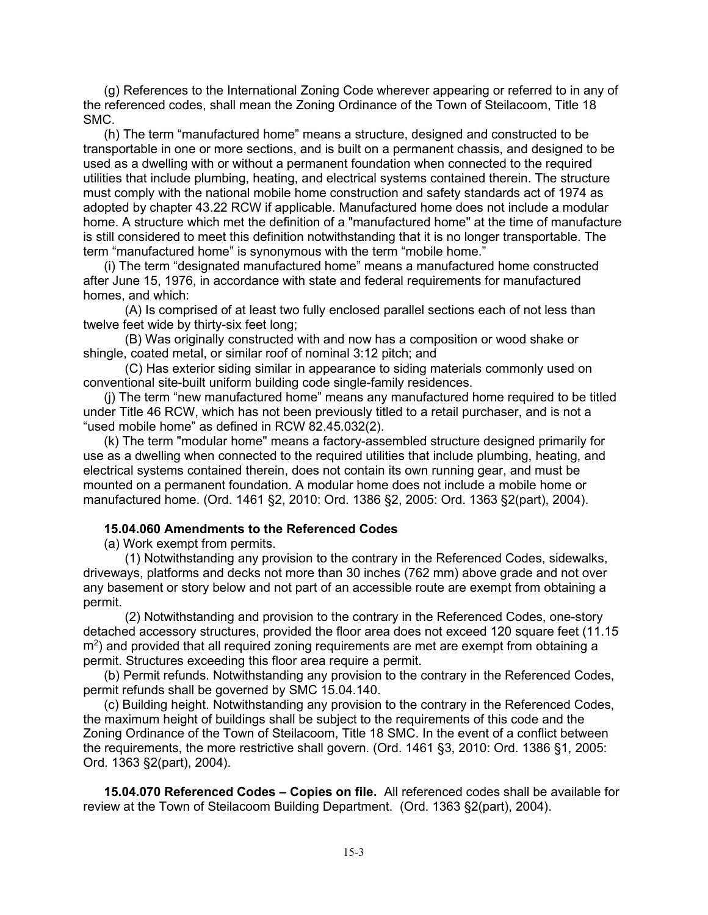(g) References to the International Zoning Code wherever appearing or referred to in any of the referenced codes, shall mean the Zoning Ordinance of the Town of Steilacoom, Title 18 SMC.

(h) The term "manufactured home" means a structure, designed and constructed to be transportable in one or more sections, and is built on a permanent chassis, and designed to be used as a dwelling with or without a permanent foundation when connected to the required utilities that include plumbing, heating, and electrical systems contained therein. The structure must comply with the national mobile home construction and safety standards act of 1974 as adopted by chapter 43.22 RCW if applicable. Manufactured home does not include a modular home. A structure which met the definition of a "manufactured home" at the time of manufacture is still considered to meet this definition notwithstanding that it is no longer transportable. The term "manufactured home" is synonymous with the term "mobile home."

(i) The term "designated manufactured home" means a manufactured home constructed after June 15, 1976, in accordance with state and federal requirements for manufactured homes, and which:

(A) Is comprised of at least two fully enclosed parallel sections each of not less than twelve feet wide by thirty-six feet long;

(B) Was originally constructed with and now has a composition or wood shake or shingle, coated metal, or similar roof of nominal 3:12 pitch; and

(C) Has exterior siding similar in appearance to siding materials commonly used on conventional site-built uniform building code single-family residences.

(j) The term "new manufactured home" means any manufactured home required to be titled under Title 46 RCW, which has not been previously titled to a retail purchaser, and is not a "used mobile home" as defined in RCW 82.45.032(2).

(k) The term "modular home" means a factory-assembled structure designed primarily for use as a dwelling when connected to the required utilities that include plumbing, heating, and electrical systems contained therein, does not contain its own running gear, and must be mounted on a permanent foundation. A modular home does not include a mobile home or manufactured home. (Ord. 1461 §2, 2010: Ord. 1386 §2, 2005: Ord. 1363 §2(part), 2004).

### **15.04.060 Amendments to the Referenced Codes**

(a) Work exempt from permits.

(1) Notwithstanding any provision to the contrary in the Referenced Codes, sidewalks, driveways, platforms and decks not more than 30 inches (762 mm) above grade and not over any basement or story below and not part of an accessible route are exempt from obtaining a permit.

(2) Notwithstanding and provision to the contrary in the Referenced Codes, one-story detached accessory structures, provided the floor area does not exceed 120 square feet (11.15 m<sup>2</sup>) and provided that all required zoning requirements are met are exempt from obtaining a permit. Structures exceeding this floor area require a permit.

(b) Permit refunds. Notwithstanding any provision to the contrary in the Referenced Codes, permit refunds shall be governed by SMC 15.04.140.

(c) Building height. Notwithstanding any provision to the contrary in the Referenced Codes, the maximum height of buildings shall be subject to the requirements of this code and the Zoning Ordinance of the Town of Steilacoom, Title 18 SMC. In the event of a conflict between the requirements, the more restrictive shall govern. (Ord. 1461 §3, 2010: Ord. 1386 §1, 2005: Ord. 1363 §2(part), 2004).

**15.04.070 Referenced Codes – Copies on file.** All referenced codes shall be available for review at the Town of Steilacoom Building Department. (Ord. 1363 §2(part), 2004).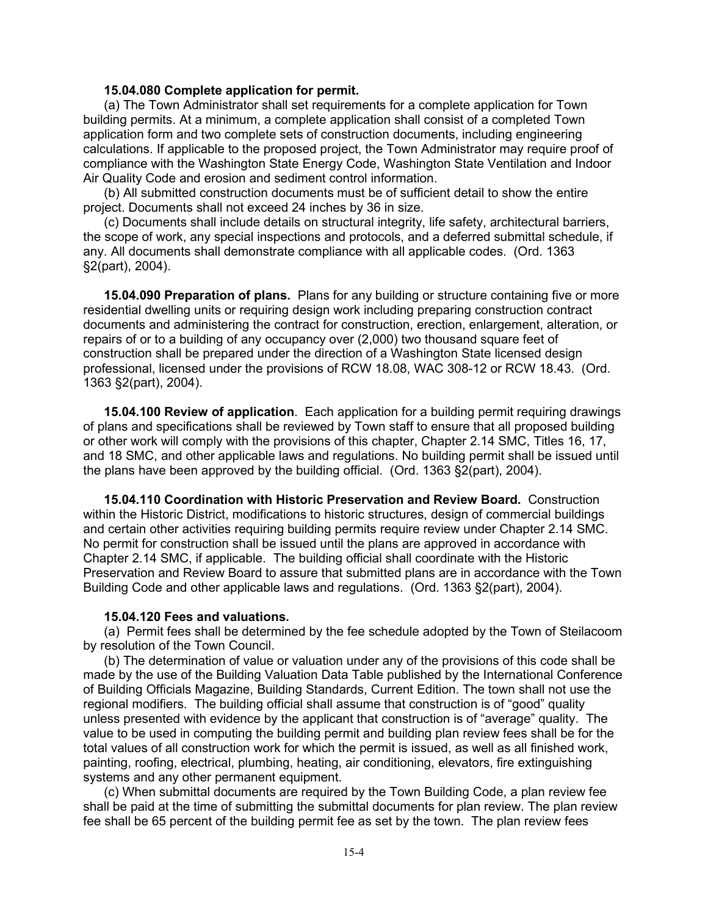#### **15.04.080 Complete application for permit.**

(a) The Town Administrator shall set requirements for a complete application for Town building permits. At a minimum, a complete application shall consist of a completed Town application form and two complete sets of construction documents, including engineering calculations. If applicable to the proposed project, the Town Administrator may require proof of compliance with the Washington State Energy Code, Washington State Ventilation and Indoor Air Quality Code and erosion and sediment control information.

(b) All submitted construction documents must be of sufficient detail to show the entire project. Documents shall not exceed 24 inches by 36 in size.

(c) Documents shall include details on structural integrity, life safety, architectural barriers, the scope of work, any special inspections and protocols, and a deferred submittal schedule, if any. All documents shall demonstrate compliance with all applicable codes. (Ord. 1363 §2(part), 2004).

**15.04.090 Preparation of plans.** Plans for any building or structure containing five or more residential dwelling units or requiring design work including preparing construction contract documents and administering the contract for construction, erection, enlargement, alteration, or repairs of or to a building of any occupancy over (2,000) two thousand square feet of construction shall be prepared under the direction of a Washington State licensed design professional, licensed under the provisions of RCW 18.08, WAC 308-12 or RCW 18.43. (Ord. 1363 §2(part), 2004).

**15.04.100 Review of application**. Each application for a building permit requiring drawings of plans and specifications shall be reviewed by Town staff to ensure that all proposed building or other work will comply with the provisions of this chapter, Chapter 2.14 SMC, Titles 16, 17, and 18 SMC, and other applicable laws and regulations. No building permit shall be issued until the plans have been approved by the building official. (Ord. 1363 §2(part), 2004).

**15.04.110 Coordination with Historic Preservation and Review Board.** Construction within the Historic District, modifications to historic structures, design of commercial buildings and certain other activities requiring building permits require review under Chapter 2.14 SMC. No permit for construction shall be issued until the plans are approved in accordance with Chapter 2.14 SMC, if applicable. The building official shall coordinate with the Historic Preservation and Review Board to assure that submitted plans are in accordance with the Town Building Code and other applicable laws and regulations. (Ord. 1363 §2(part), 2004).

#### **15.04.120 Fees and valuations.**

(a) Permit fees shall be determined by the fee schedule adopted by the Town of Steilacoom by resolution of the Town Council.

(b) The determination of value or valuation under any of the provisions of this code shall be made by the use of the Building Valuation Data Table published by the International Conference of Building Officials Magazine, Building Standards, Current Edition. The town shall not use the regional modifiers. The building official shall assume that construction is of "good" quality unless presented with evidence by the applicant that construction is of "average" quality. The value to be used in computing the building permit and building plan review fees shall be for the total values of all construction work for which the permit is issued, as well as all finished work, painting, roofing, electrical, plumbing, heating, air conditioning, elevators, fire extinguishing systems and any other permanent equipment.

(c) When submittal documents are required by the Town Building Code, a plan review fee shall be paid at the time of submitting the submittal documents for plan review. The plan review fee shall be 65 percent of the building permit fee as set by the town. The plan review fees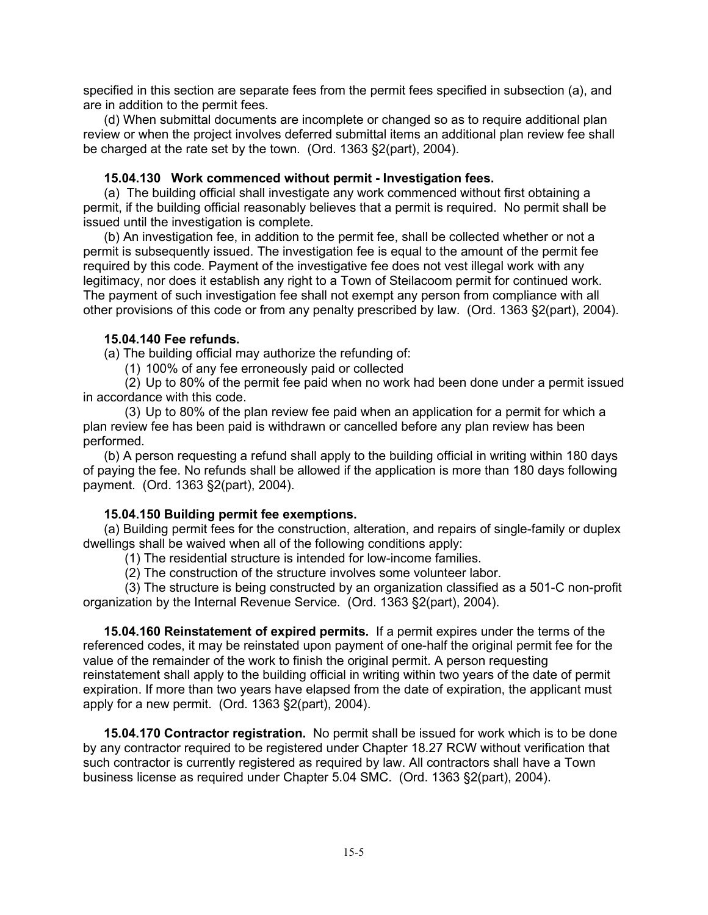specified in this section are separate fees from the permit fees specified in subsection (a), and are in addition to the permit fees.

(d) When submittal documents are incomplete or changed so as to require additional plan review or when the project involves deferred submittal items an additional plan review fee shall be charged at the rate set by the town. (Ord. 1363 §2(part), 2004).

### **15.04.130 Work commenced without permit - Investigation fees.**

(a) The building official shall investigate any work commenced without first obtaining a permit, if the building official reasonably believes that a permit is required. No permit shall be issued until the investigation is complete.

(b) An investigation fee, in addition to the permit fee, shall be collected whether or not a permit is subsequently issued. The investigation fee is equal to the amount of the permit fee required by this code. Payment of the investigative fee does not vest illegal work with any legitimacy, nor does it establish any right to a Town of Steilacoom permit for continued work. The payment of such investigation fee shall not exempt any person from compliance with all other provisions of this code or from any penalty prescribed by law. (Ord. 1363 §2(part), 2004).

## **15.04.140 Fee refunds.**

(a) The building official may authorize the refunding of:

(1) 100% of any fee erroneously paid or collected

(2) Up to 80% of the permit fee paid when no work had been done under a permit issued in accordance with this code.

(3) Up to 80% of the plan review fee paid when an application for a permit for which a plan review fee has been paid is withdrawn or cancelled before any plan review has been performed.

(b) A person requesting a refund shall apply to the building official in writing within 180 days of paying the fee. No refunds shall be allowed if the application is more than 180 days following payment. (Ord. 1363 §2(part), 2004).

# **15.04.150 Building permit fee exemptions.**

(a) Building permit fees for the construction, alteration, and repairs of single-family or duplex dwellings shall be waived when all of the following conditions apply:

(1) The residential structure is intended for low-income families.

(2) The construction of the structure involves some volunteer labor.

 (3) The structure is being constructed by an organization classified as a 501-C non-profit organization by the Internal Revenue Service. (Ord. 1363 §2(part), 2004).

**15.04.160 Reinstatement of expired permits.** If a permit expires under the terms of the referenced codes, it may be reinstated upon payment of one-half the original permit fee for the value of the remainder of the work to finish the original permit. A person requesting reinstatement shall apply to the building official in writing within two years of the date of permit expiration. If more than two years have elapsed from the date of expiration, the applicant must apply for a new permit. (Ord. 1363 §2(part), 2004).

**15.04.170 Contractor registration.** No permit shall be issued for work which is to be done by any contractor required to be registered under Chapter 18.27 RCW without verification that such contractor is currently registered as required by law. All contractors shall have a Town business license as required under Chapter 5.04 SMC. (Ord. 1363 §2(part), 2004).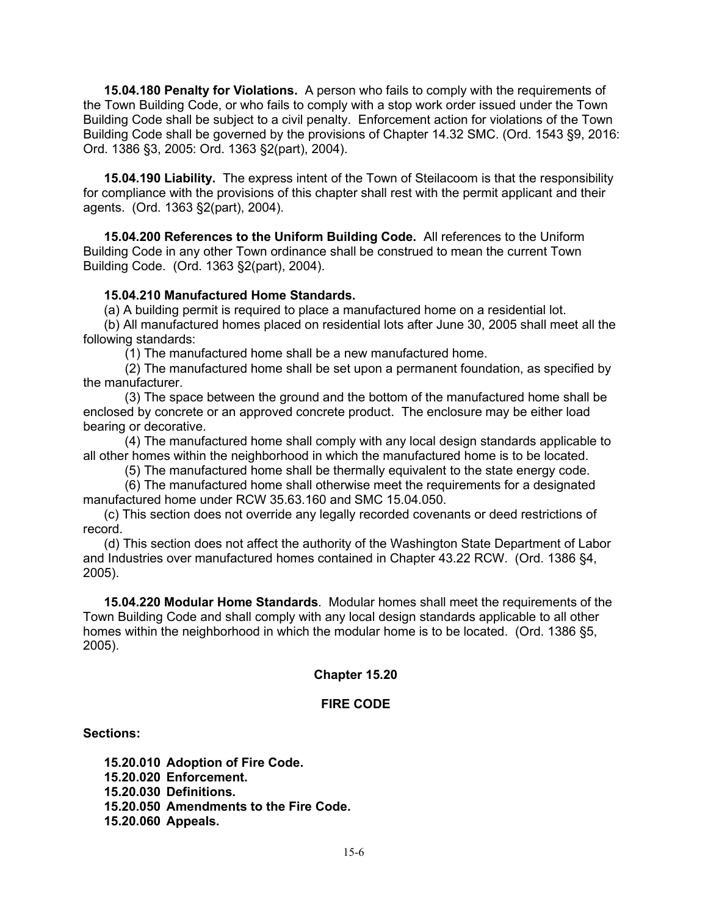**15.04.180 Penalty for Violations.** A person who fails to comply with the requirements of the Town Building Code, or who fails to comply with a stop work order issued under the Town Building Code shall be subject to a civil penalty. Enforcement action for violations of the Town Building Code shall be governed by the provisions of Chapter 14.32 SMC. (Ord. 1543 §9, 2016: Ord. 1386 §3, 2005: Ord. 1363 §2(part), 2004).

**15.04.190 Liability.** The express intent of the Town of Steilacoom is that the responsibility for compliance with the provisions of this chapter shall rest with the permit applicant and their agents. (Ord. 1363 §2(part), 2004).

**15.04.200 References to the Uniform Building Code.** All references to the Uniform Building Code in any other Town ordinance shall be construed to mean the current Town Building Code. (Ord. 1363 §2(part), 2004).

### **15.04.210 Manufactured Home Standards.**

(a) A building permit is required to place a manufactured home on a residential lot.

(b) All manufactured homes placed on residential lots after June 30, 2005 shall meet all the following standards:

(1) The manufactured home shall be a new manufactured home.

(2) The manufactured home shall be set upon a permanent foundation, as specified by the manufacturer.

(3) The space between the ground and the bottom of the manufactured home shall be enclosed by concrete or an approved concrete product. The enclosure may be either load bearing or decorative.

(4) The manufactured home shall comply with any local design standards applicable to all other homes within the neighborhood in which the manufactured home is to be located.

(5) The manufactured home shall be thermally equivalent to the state energy code.

(6) The manufactured home shall otherwise meet the requirements for a designated manufactured home under RCW 35.63.160 and SMC 15.04.050.

(c) This section does not override any legally recorded covenants or deed restrictions of record.

(d) This section does not affect the authority of the Washington State Department of Labor and Industries over manufactured homes contained in Chapter 43.22 RCW. (Ord. 1386 §4, 2005).

**15.04.220 Modular Home Standards**. Modular homes shall meet the requirements of the Town Building Code and shall comply with any local design standards applicable to all other homes within the neighborhood in which the modular home is to be located. (Ord. 1386 §5, 2005).

### **Chapter 15.20**

### **FIRE CODE**

#### **Sections:**

**15.20.010 Adoption of Fire Code. 15.20.020 Enforcement. 15.20.030 Definitions. 15.20.050 Amendments to the Fire Code. 15.20.060 Appeals.**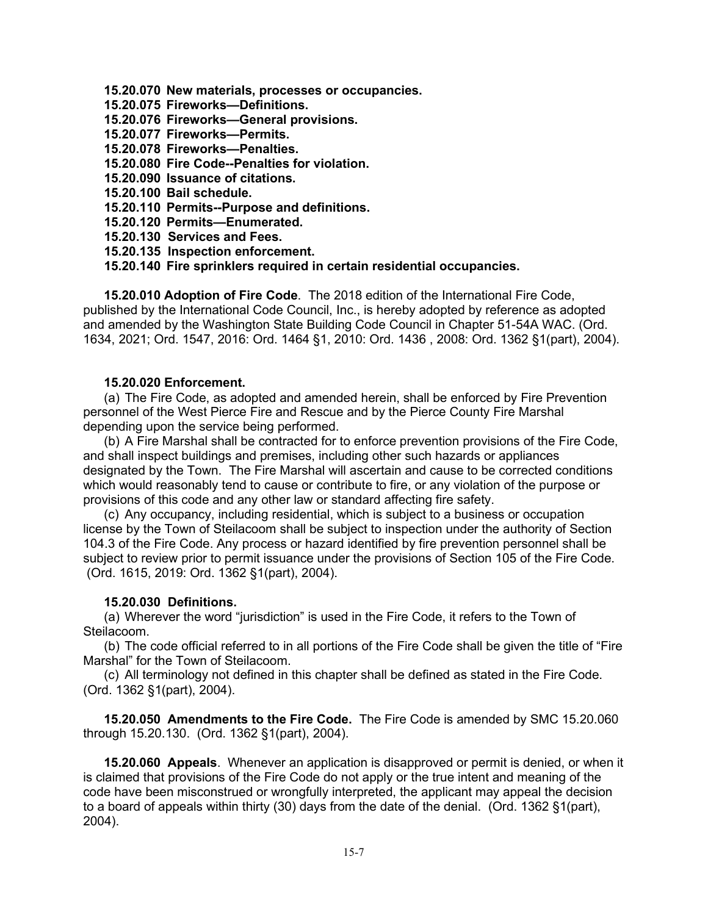- **15.20.070 New materials, processes or occupancies.**
- **15.20.075 Fireworks—Definitions.**
- **15.20.076 Fireworks—General provisions.**
- **15.20.077 Fireworks—Permits.**
- **15.20.078 Fireworks—Penalties.**
- **15.20.080 Fire Code--Penalties for violation.**
- **15.20.090 Issuance of citations.**
- **15.20.100 Bail schedule.**
- **15.20.110 Permits--Purpose and definitions.**
- **15.20.120 Permits—Enumerated.**
- **15.20.130 Services and Fees.**
- **15.20.135 Inspection enforcement.**
- **15.20.140 Fire sprinklers required in certain residential occupancies.**

**15.20.010 Adoption of Fire Code**. The 2018 edition of the International Fire Code, published by the International Code Council, Inc., is hereby adopted by reference as adopted and amended by the Washington State Building Code Council in Chapter 51-54A WAC. (Ord. 1634, 2021; Ord. 1547, 2016: Ord. 1464 §1, 2010: Ord. 1436 , 2008: Ord. 1362 §1(part), 2004).

### **15.20.020 Enforcement.**

(a) The Fire Code, as adopted and amended herein, shall be enforced by Fire Prevention personnel of the West Pierce Fire and Rescue and by the Pierce County Fire Marshal depending upon the service being performed.

(b) A Fire Marshal shall be contracted for to enforce prevention provisions of the Fire Code, and shall inspect buildings and premises, including other such hazards or appliances designated by the Town. The Fire Marshal will ascertain and cause to be corrected conditions which would reasonably tend to cause or contribute to fire, or any violation of the purpose or provisions of this code and any other law or standard affecting fire safety.

(c) Any occupancy, including residential, which is subject to a business or occupation license by the Town of Steilacoom shall be subject to inspection under the authority of Section 104.3 of the Fire Code. Any process or hazard identified by fire prevention personnel shall be subject to review prior to permit issuance under the provisions of Section 105 of the Fire Code. (Ord. 1615, 2019: Ord. 1362 §1(part), 2004).

### **15.20.030 Definitions.**

(a) Wherever the word "jurisdiction" is used in the Fire Code, it refers to the Town of Steilacoom.

(b) The code official referred to in all portions of the Fire Code shall be given the title of "Fire Marshal" for the Town of Steilacoom.

(c) All terminology not defined in this chapter shall be defined as stated in the Fire Code. (Ord. 1362 §1(part), 2004).

**15.20.050 Amendments to the Fire Code.** The Fire Code is amended by SMC 15.20.060 through 15.20.130. (Ord. 1362 §1(part), 2004).

**15.20.060 Appeals**. Whenever an application is disapproved or permit is denied, or when it is claimed that provisions of the Fire Code do not apply or the true intent and meaning of the code have been misconstrued or wrongfully interpreted, the applicant may appeal the decision to a board of appeals within thirty (30) days from the date of the denial. (Ord. 1362 §1(part), 2004).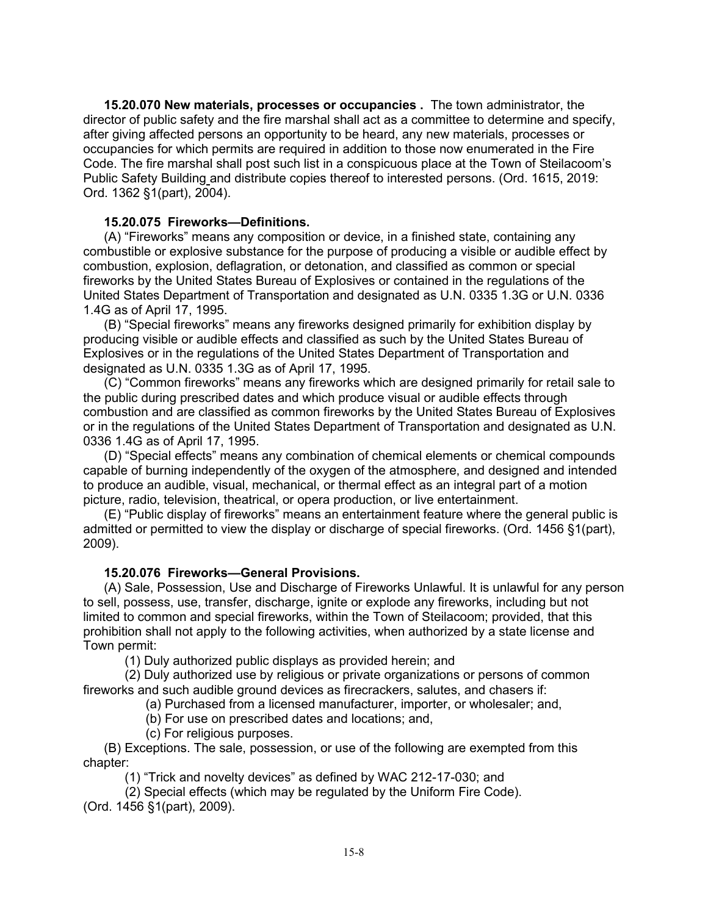**15.20.070 New materials, processes or occupancies .** The town administrator, the director of public safety and the fire marshal shall act as a committee to determine and specify, after giving affected persons an opportunity to be heard, any new materials, processes or occupancies for which permits are required in addition to those now enumerated in the Fire Code. The fire marshal shall post such list in a conspicuous place at the Town of Steilacoom's Public Safety Building and distribute copies thereof to interested persons. (Ord. 1615, 2019: Ord. 1362 §1(part), 2004).

### **15.20.075 Fireworks—Definitions.**

(A) "Fireworks" means any composition or device, in a finished state, containing any combustible or explosive substance for the purpose of producing a visible or audible effect by combustion, explosion, deflagration, or detonation, and classified as common or special fireworks by the United States Bureau of Explosives or contained in the regulations of the United States Department of Transportation and designated as U.N. 0335 1.3G or U.N. 0336 1.4G as of April 17, 1995.

(B) "Special fireworks" means any fireworks designed primarily for exhibition display by producing visible or audible effects and classified as such by the United States Bureau of Explosives or in the regulations of the United States Department of Transportation and designated as U.N. 0335 1.3G as of April 17, 1995.

(C) "Common fireworks" means any fireworks which are designed primarily for retail sale to the public during prescribed dates and which produce visual or audible effects through combustion and are classified as common fireworks by the United States Bureau of Explosives or in the regulations of the United States Department of Transportation and designated as U.N. 0336 1.4G as of April 17, 1995.

(D) "Special effects" means any combination of chemical elements or chemical compounds capable of burning independently of the oxygen of the atmosphere, and designed and intended to produce an audible, visual, mechanical, or thermal effect as an integral part of a motion picture, radio, television, theatrical, or opera production, or live entertainment.

(E) "Public display of fireworks" means an entertainment feature where the general public is admitted or permitted to view the display or discharge of special fireworks. (Ord. 1456 §1(part), 2009).

### **15.20.076 Fireworks—General Provisions.**

(A) Sale, Possession, Use and Discharge of Fireworks Unlawful. It is unlawful for any person to sell, possess, use, transfer, discharge, ignite or explode any fireworks, including but not limited to common and special fireworks, within the Town of Steilacoom; provided, that this prohibition shall not apply to the following activities, when authorized by a state license and Town permit:

(1) Duly authorized public displays as provided herein; and

(2) Duly authorized use by religious or private organizations or persons of common fireworks and such audible ground devices as firecrackers, salutes, and chasers if:

(a) Purchased from a licensed manufacturer, importer, or wholesaler; and,

(b) For use on prescribed dates and locations; and,

(c) For religious purposes.

(B) Exceptions. The sale, possession, or use of the following are exempted from this chapter:

(1) "Trick and novelty devices" as defined by WAC 212-17-030; and

(2) Special effects (which may be regulated by the Uniform Fire Code).

(Ord. 1456 §1(part), 2009).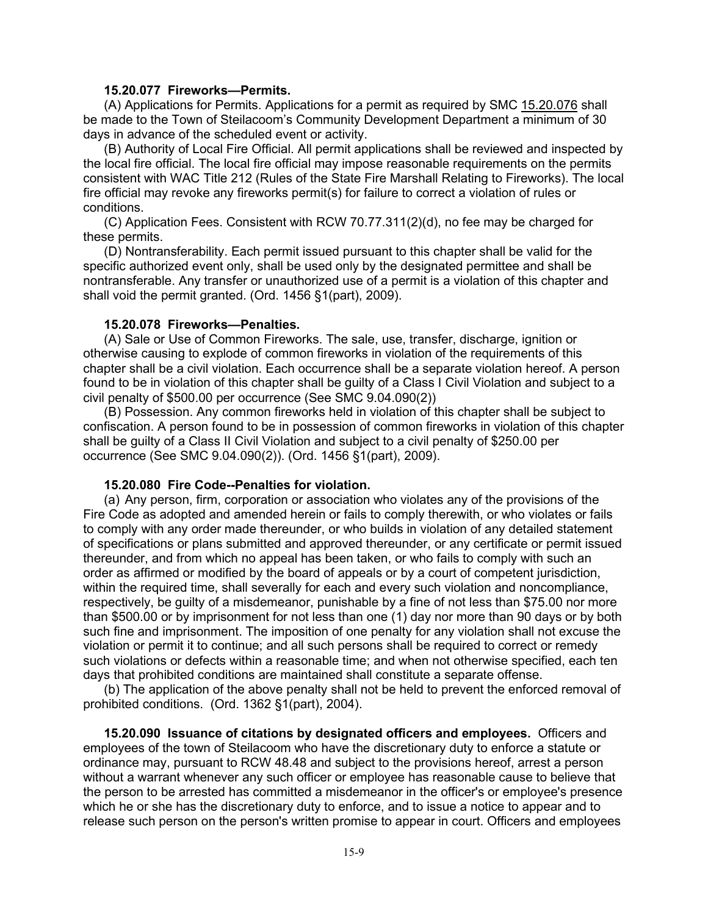#### **15.20.077 Fireworks—Permits.**

(A) Applications for Permits. Applications for a permit as required by SMC [15.20.076](http://www.mrsc.org/mc/shoreline/Shoreline09/Shoreline0915.html#9.15.020) shall be made to the Town of Steilacoom's Community Development Department a minimum of 30 days in advance of the scheduled event or activity.

(B) Authority of Local Fire Official. All permit applications shall be reviewed and inspected by the local fire official. The local fire official may impose reasonable requirements on the permits consistent with WAC Title 212 (Rules of the State Fire Marshall Relating to Fireworks). The local fire official may revoke any fireworks permit(s) for failure to correct a violation of rules or conditions.

(C) Application Fees. Consistent with RCW 70.77.311(2)(d), no fee may be charged for these permits.

(D) Nontransferability. Each permit issued pursuant to this chapter shall be valid for the specific authorized event only, shall be used only by the designated permittee and shall be nontransferable. Any transfer or unauthorized use of a permit is a violation of this chapter and shall void the permit granted. (Ord. 1456 §1(part), 2009).

#### **15.20.078 Fireworks—Penalties.**

(A) Sale or Use of Common Fireworks. The sale, use, transfer, discharge, ignition or otherwise causing to explode of common fireworks in violation of the requirements of this chapter shall be a civil violation. Each occurrence shall be a separate violation hereof. A person found to be in violation of this chapter shall be guilty of a Class I Civil Violation and subject to a civil penalty of \$500.00 per occurrence (See SMC 9.04.090(2))

(B) Possession. Any common fireworks held in violation of this chapter shall be subject to confiscation. A person found to be in possession of common fireworks in violation of this chapter shall be guilty of a Class II Civil Violation and subject to a civil penalty of \$250.00 per occurrence (See SMC 9.04.090(2)). (Ord. 1456 §1(part), 2009).

#### **15.20.080 Fire Code--Penalties for violation.**

(a) Any person, firm, corporation or association who violates any of the provisions of the Fire Code as adopted and amended herein or fails to comply therewith, or who violates or fails to comply with any order made thereunder, or who builds in violation of any detailed statement of specifications or plans submitted and approved thereunder, or any certificate or permit issued thereunder, and from which no appeal has been taken, or who fails to comply with such an order as affirmed or modified by the board of appeals or by a court of competent jurisdiction, within the required time, shall severally for each and every such violation and noncompliance, respectively, be guilty of a misdemeanor, punishable by a fine of not less than \$75.00 nor more than \$500.00 or by imprisonment for not less than one (1) day nor more than 90 days or by both such fine and imprisonment. The imposition of one penalty for any violation shall not excuse the violation or permit it to continue; and all such persons shall be required to correct or remedy such violations or defects within a reasonable time; and when not otherwise specified, each ten days that prohibited conditions are maintained shall constitute a separate offense.

(b) The application of the above penalty shall not be held to prevent the enforced removal of prohibited conditions. (Ord. 1362 §1(part), 2004).

**15.20.090 Issuance of citations by designated officers and employees.** Officers and employees of the town of Steilacoom who have the discretionary duty to enforce a statute or ordinance may, pursuant to RCW 48.48 and subject to the provisions hereof, arrest a person without a warrant whenever any such officer or employee has reasonable cause to believe that the person to be arrested has committed a misdemeanor in the officer's or employee's presence which he or she has the discretionary duty to enforce, and to issue a notice to appear and to release such person on the person's written promise to appear in court. Officers and employees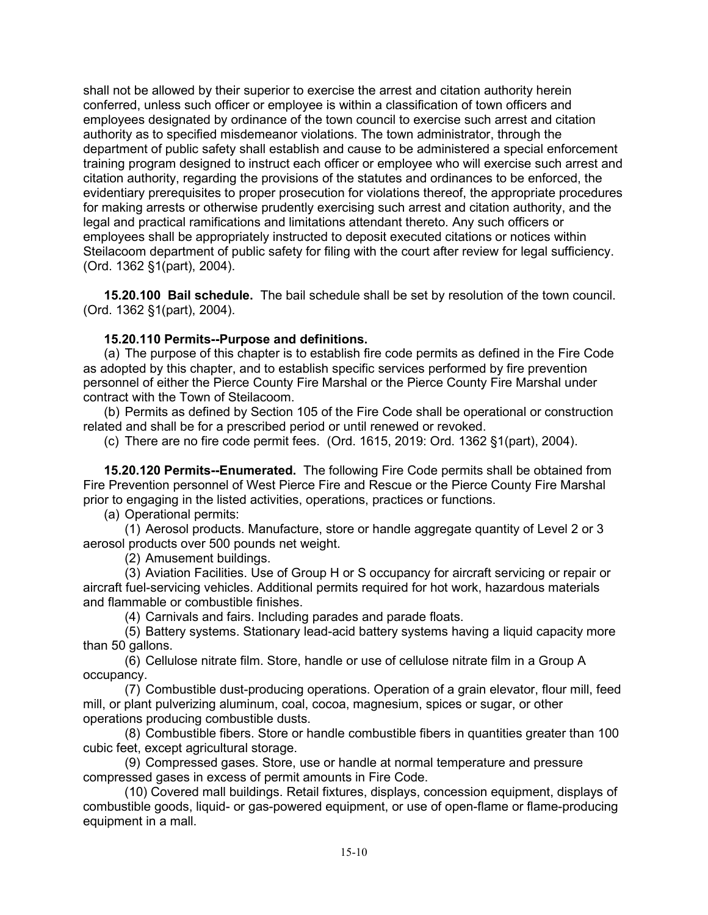shall not be allowed by their superior to exercise the arrest and citation authority herein conferred, unless such officer or employee is within a classification of town officers and employees designated by ordinance of the town council to exercise such arrest and citation authority as to specified misdemeanor violations. The town administrator, through the department of public safety shall establish and cause to be administered a special enforcement training program designed to instruct each officer or employee who will exercise such arrest and citation authority, regarding the provisions of the statutes and ordinances to be enforced, the evidentiary prerequisites to proper prosecution for violations thereof, the appropriate procedures for making arrests or otherwise prudently exercising such arrest and citation authority, and the legal and practical ramifications and limitations attendant thereto. Any such officers or employees shall be appropriately instructed to deposit executed citations or notices within Steilacoom department of public safety for filing with the court after review for legal sufficiency. (Ord. 1362 §1(part), 2004).

**15.20.100 Bail schedule.** The bail schedule shall be set by resolution of the town council. (Ord. 1362 §1(part), 2004).

## **15.20.110 Permits--Purpose and definitions.**

(a) The purpose of this chapter is to establish fire code permits as defined in the Fire Code as adopted by this chapter, and to establish specific services performed by fire prevention personnel of either the Pierce County Fire Marshal or the Pierce County Fire Marshal under contract with the Town of Steilacoom.

(b) Permits as defined by Section 105 of the Fire Code shall be operational or construction related and shall be for a prescribed period or until renewed or revoked.

(c) There are no fire code permit fees. (Ord. 1615, 2019: Ord. 1362 §1(part), 2004).

**15.20.120 Permits--Enumerated.** The following Fire Code permits shall be obtained from Fire Prevention personnel of West Pierce Fire and Rescue or the Pierce County Fire Marshal prior to engaging in the listed activities, operations, practices or functions.

(a) Operational permits:

(1) Aerosol products. Manufacture, store or handle aggregate quantity of Level 2 or 3 aerosol products over 500 pounds net weight.

(2) Amusement buildings.

(3) Aviation Facilities. Use of Group H or S occupancy for aircraft servicing or repair or aircraft fuel-servicing vehicles. Additional permits required for hot work, hazardous materials and flammable or combustible finishes.

(4) Carnivals and fairs. Including parades and parade floats.

(5) Battery systems. Stationary lead-acid battery systems having a liquid capacity more than 50 gallons.

(6) Cellulose nitrate film. Store, handle or use of cellulose nitrate film in a Group A occupancy.

(7) Combustible dust-producing operations. Operation of a grain elevator, flour mill, feed mill, or plant pulverizing aluminum, coal, cocoa, magnesium, spices or sugar, or other operations producing combustible dusts.

(8) Combustible fibers. Store or handle combustible fibers in quantities greater than 100 cubic feet, except agricultural storage.

(9) Compressed gases. Store, use or handle at normal temperature and pressure compressed gases in excess of permit amounts in Fire Code.

(10) Covered mall buildings. Retail fixtures, displays, concession equipment, displays of combustible goods, liquid- or gas-powered equipment, or use of open-flame or flame-producing equipment in a mall.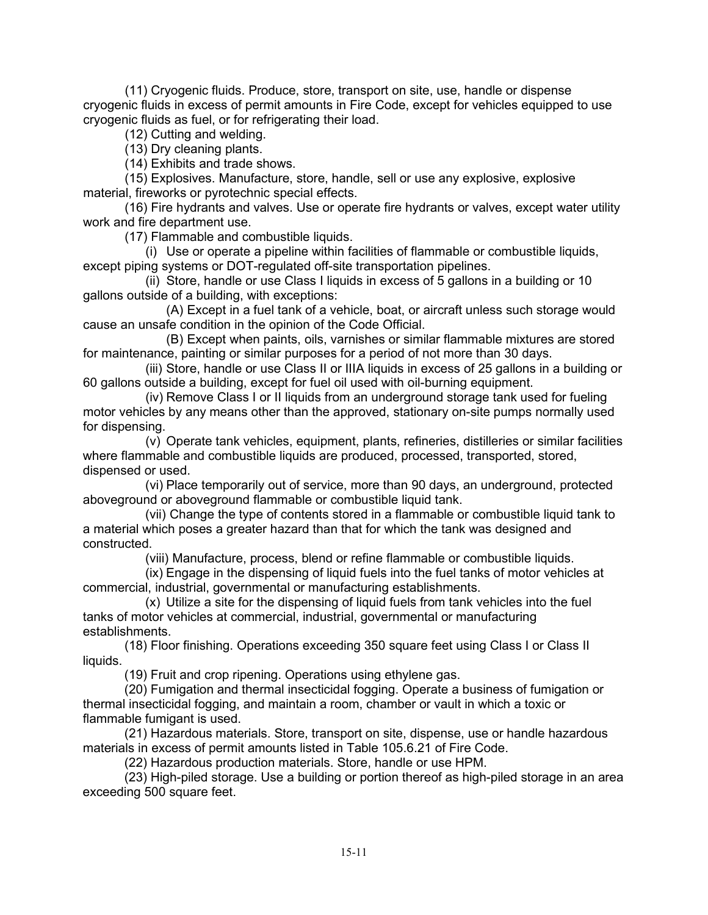(11) Cryogenic fluids. Produce, store, transport on site, use, handle or dispense cryogenic fluids in excess of permit amounts in Fire Code, except for vehicles equipped to use cryogenic fluids as fuel, or for refrigerating their load.

(12) Cutting and welding.

(13) Dry cleaning plants.

(14) Exhibits and trade shows.

(15) Explosives. Manufacture, store, handle, sell or use any explosive, explosive material, fireworks or pyrotechnic special effects.

(16) Fire hydrants and valves. Use or operate fire hydrants or valves, except water utility work and fire department use.

(17) Flammable and combustible liquids.

(i) Use or operate a pipeline within facilities of flammable or combustible liquids, except piping systems or DOT-regulated off-site transportation pipelines.

(ii) Store, handle or use Class I liquids in excess of 5 gallons in a building or 10 gallons outside of a building, with exceptions:

(A) Except in a fuel tank of a vehicle, boat, or aircraft unless such storage would cause an unsafe condition in the opinion of the Code Official.

(B) Except when paints, oils, varnishes or similar flammable mixtures are stored for maintenance, painting or similar purposes for a period of not more than 30 days.

(iii) Store, handle or use Class II or IIIA liquids in excess of 25 gallons in a building or 60 gallons outside a building, except for fuel oil used with oil-burning equipment.

(iv) Remove Class I or II liquids from an underground storage tank used for fueling motor vehicles by any means other than the approved, stationary on-site pumps normally used for dispensing.

(v) Operate tank vehicles, equipment, plants, refineries, distilleries or similar facilities where flammable and combustible liquids are produced, processed, transported, stored, dispensed or used.

(vi) Place temporarily out of service, more than 90 days, an underground, protected aboveground or aboveground flammable or combustible liquid tank.

(vii) Change the type of contents stored in a flammable or combustible liquid tank to a material which poses a greater hazard than that for which the tank was designed and constructed.

(viii) Manufacture, process, blend or refine flammable or combustible liquids.

(ix) Engage in the dispensing of liquid fuels into the fuel tanks of motor vehicles at commercial, industrial, governmental or manufacturing establishments.

(x) Utilize a site for the dispensing of liquid fuels from tank vehicles into the fuel tanks of motor vehicles at commercial, industrial, governmental or manufacturing establishments.

(18) Floor finishing. Operations exceeding 350 square feet using Class I or Class II liquids.

(19) Fruit and crop ripening. Operations using ethylene gas.

(20) Fumigation and thermal insecticidal fogging. Operate a business of fumigation or thermal insecticidal fogging, and maintain a room, chamber or vault in which a toxic or flammable fumigant is used.

(21) Hazardous materials. Store, transport on site, dispense, use or handle hazardous materials in excess of permit amounts listed in Table 105.6.21 of Fire Code.

(22) Hazardous production materials. Store, handle or use HPM.

(23) High-piled storage. Use a building or portion thereof as high-piled storage in an area exceeding 500 square feet.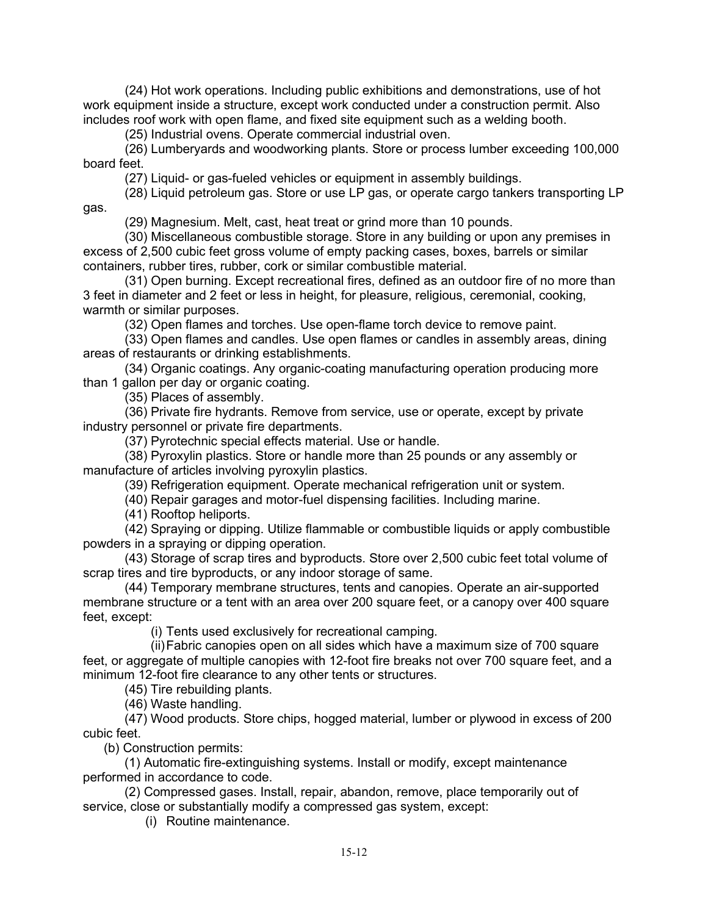(24) Hot work operations. Including public exhibitions and demonstrations, use of hot work equipment inside a structure, except work conducted under a construction permit. Also includes roof work with open flame, and fixed site equipment such as a welding booth.

(25) Industrial ovens. Operate commercial industrial oven.

(26) Lumberyards and woodworking plants. Store or process lumber exceeding 100,000 board feet.

(27) Liquid- or gas-fueled vehicles or equipment in assembly buildings.

(28) Liquid petroleum gas. Store or use LP gas, or operate cargo tankers transporting LP gas.

(29) Magnesium. Melt, cast, heat treat or grind more than 10 pounds.

(30) Miscellaneous combustible storage. Store in any building or upon any premises in excess of 2,500 cubic feet gross volume of empty packing cases, boxes, barrels or similar containers, rubber tires, rubber, cork or similar combustible material.

(31) Open burning. Except recreational fires, defined as an outdoor fire of no more than 3 feet in diameter and 2 feet or less in height, for pleasure, religious, ceremonial, cooking, warmth or similar purposes.

(32) Open flames and torches. Use open-flame torch device to remove paint.

(33) Open flames and candles. Use open flames or candles in assembly areas, dining areas of restaurants or drinking establishments.

(34) Organic coatings. Any organic-coating manufacturing operation producing more than 1 gallon per day or organic coating.

(35) Places of assembly.

(36) Private fire hydrants. Remove from service, use or operate, except by private industry personnel or private fire departments.

(37) Pyrotechnic special effects material. Use or handle.

(38) Pyroxylin plastics. Store or handle more than 25 pounds or any assembly or manufacture of articles involving pyroxylin plastics.

(39) Refrigeration equipment. Operate mechanical refrigeration unit or system.

(40) Repair garages and motor-fuel dispensing facilities. Including marine.

(41) Rooftop heliports.

(42) Spraying or dipping. Utilize flammable or combustible liquids or apply combustible powders in a spraying or dipping operation.

(43) Storage of scrap tires and byproducts. Store over 2,500 cubic feet total volume of scrap tires and tire byproducts, or any indoor storage of same.

(44) Temporary membrane structures, tents and canopies. Operate an air-supported membrane structure or a tent with an area over 200 square feet, or a canopy over 400 square feet, except:

(i) Tents used exclusively for recreational camping.

(ii)Fabric canopies open on all sides which have a maximum size of 700 square feet, or aggregate of multiple canopies with 12-foot fire breaks not over 700 square feet, and a minimum 12-foot fire clearance to any other tents or structures.

(45) Tire rebuilding plants.

(46) Waste handling.

(47) Wood products. Store chips, hogged material, lumber or plywood in excess of 200 cubic feet.

(b) Construction permits:

(1) Automatic fire-extinguishing systems. Install or modify, except maintenance performed in accordance to code.

(2) Compressed gases. Install, repair, abandon, remove, place temporarily out of service, close or substantially modify a compressed gas system, except:

(i) Routine maintenance.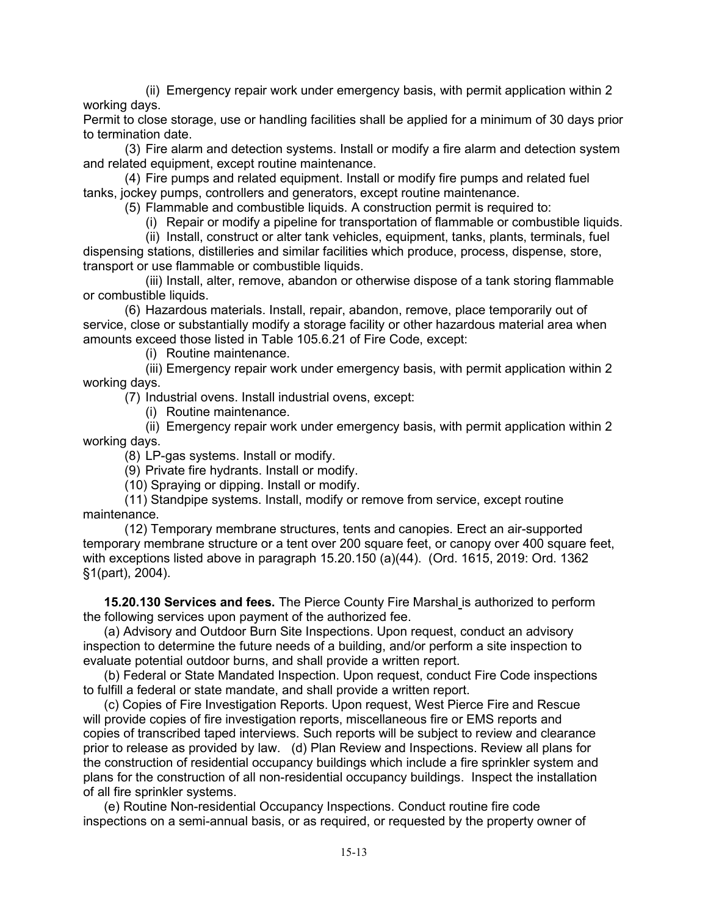(ii) Emergency repair work under emergency basis, with permit application within 2 working days.

Permit to close storage, use or handling facilities shall be applied for a minimum of 30 days prior to termination date.

(3) Fire alarm and detection systems. Install or modify a fire alarm and detection system and related equipment, except routine maintenance.

(4) Fire pumps and related equipment. Install or modify fire pumps and related fuel tanks, jockey pumps, controllers and generators, except routine maintenance.

(5) Flammable and combustible liquids. A construction permit is required to:

(i) Repair or modify a pipeline for transportation of flammable or combustible liquids.

(ii) Install, construct or alter tank vehicles, equipment, tanks, plants, terminals, fuel dispensing stations, distilleries and similar facilities which produce, process, dispense, store, transport or use flammable or combustible liquids.

(iii) Install, alter, remove, abandon or otherwise dispose of a tank storing flammable or combustible liquids.

(6) Hazardous materials. Install, repair, abandon, remove, place temporarily out of service, close or substantially modify a storage facility or other hazardous material area when amounts exceed those listed in Table 105.6.21 of Fire Code, except:

(i) Routine maintenance.

(iii) Emergency repair work under emergency basis, with permit application within 2 working days.

(7) Industrial ovens. Install industrial ovens, except:

(i) Routine maintenance.

(ii) Emergency repair work under emergency basis, with permit application within 2 working days.

(8) LP-gas systems. Install or modify.

(9) Private fire hydrants. Install or modify.

(10) Spraying or dipping. Install or modify.

(11) Standpipe systems. Install, modify or remove from service, except routine maintenance.

(12) Temporary membrane structures, tents and canopies. Erect an air-supported temporary membrane structure or a tent over 200 square feet, or canopy over 400 square feet, with exceptions listed above in paragraph 15.20.150 (a)(44). (Ord. 1615, 2019: Ord. 1362 §1(part), 2004).

**15.20.130 Services and fees.** The Pierce County Fire Marshal is authorized to perform the following services upon payment of the authorized fee.

(a) Advisory and Outdoor Burn Site Inspections. Upon request, conduct an advisory inspection to determine the future needs of a building, and/or perform a site inspection to evaluate potential outdoor burns, and shall provide a written report.

(b) Federal or State Mandated Inspection. Upon request, conduct Fire Code inspections to fulfill a federal or state mandate, and shall provide a written report.

(c) Copies of Fire Investigation Reports. Upon request, West Pierce Fire and Rescue will provide copies of fire investigation reports, miscellaneous fire or EMS reports and copies of transcribed taped interviews. Such reports will be subject to review and clearance prior to release as provided by law. (d) Plan Review and Inspections. Review all plans for the construction of residential occupancy buildings which include a fire sprinkler system and plans for the construction of all non-residential occupancy buildings. Inspect the installation of all fire sprinkler systems.

(e) Routine Non-residential Occupancy Inspections. Conduct routine fire code inspections on a semi-annual basis, or as required, or requested by the property owner of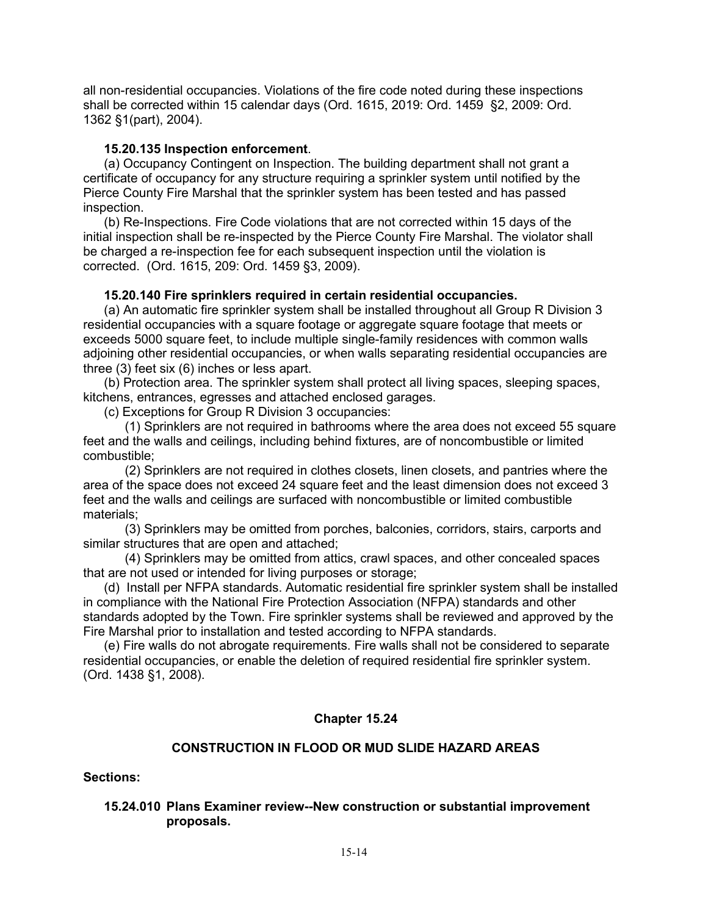all non-residential occupancies. Violations of the fire code noted during these inspections shall be corrected within 15 calendar days (Ord. 1615, 2019: Ord. 1459 §2, 2009: Ord. 1362 §1(part), 2004).

### **15.20.135 Inspection enforcement**.

(a) Occupancy Contingent on Inspection. The building department shall not grant a certificate of occupancy for any structure requiring a sprinkler system until notified by the Pierce County Fire Marshal that the sprinkler system has been tested and has passed inspection.

(b) Re-Inspections. Fire Code violations that are not corrected within 15 days of the initial inspection shall be re-inspected by the Pierce County Fire Marshal. The violator shall be charged a re-inspection fee for each subsequent inspection until the violation is corrected. (Ord. 1615, 209: Ord. 1459 §3, 2009).

### **15.20.140 Fire sprinklers required in certain residential occupancies.**

(a) An automatic fire sprinkler system shall be installed throughout all Group R Division 3 residential occupancies with a square footage or aggregate square footage that meets or exceeds 5000 square feet, to include multiple single-family residences with common walls adjoining other residential occupancies, or when walls separating residential occupancies are three (3) feet six (6) inches or less apart.

(b) Protection area. The sprinkler system shall protect all living spaces, sleeping spaces, kitchens, entrances, egresses and attached enclosed garages.

(c) Exceptions for Group R Division 3 occupancies:

(1) Sprinklers are not required in bathrooms where the area does not exceed 55 square feet and the walls and ceilings, including behind fixtures, are of noncombustible or limited combustible;

(2) Sprinklers are not required in clothes closets, linen closets, and pantries where the area of the space does not exceed 24 square feet and the least dimension does not exceed 3 feet and the walls and ceilings are surfaced with noncombustible or limited combustible materials;

(3) Sprinklers may be omitted from porches, balconies, corridors, stairs, carports and similar structures that are open and attached;

(4) Sprinklers may be omitted from attics, crawl spaces, and other concealed spaces that are not used or intended for living purposes or storage;

(d) Install per NFPA standards. Automatic residential fire sprinkler system shall be installed in compliance with the National Fire Protection Association (NFPA) standards and other standards adopted by the Town. Fire sprinkler systems shall be reviewed and approved by the Fire Marshal prior to installation and tested according to NFPA standards.

(e) Fire walls do not abrogate requirements. Fire walls shall not be considered to separate residential occupancies, or enable the deletion of required residential fire sprinkler system. (Ord. 1438 §1, 2008).

### **Chapter 15.24**

### **CONSTRUCTION IN FLOOD OR MUD SLIDE HAZARD AREAS**

**Sections:**

### **15.24.010 Plans Examiner review--New construction or substantial improvement proposals.**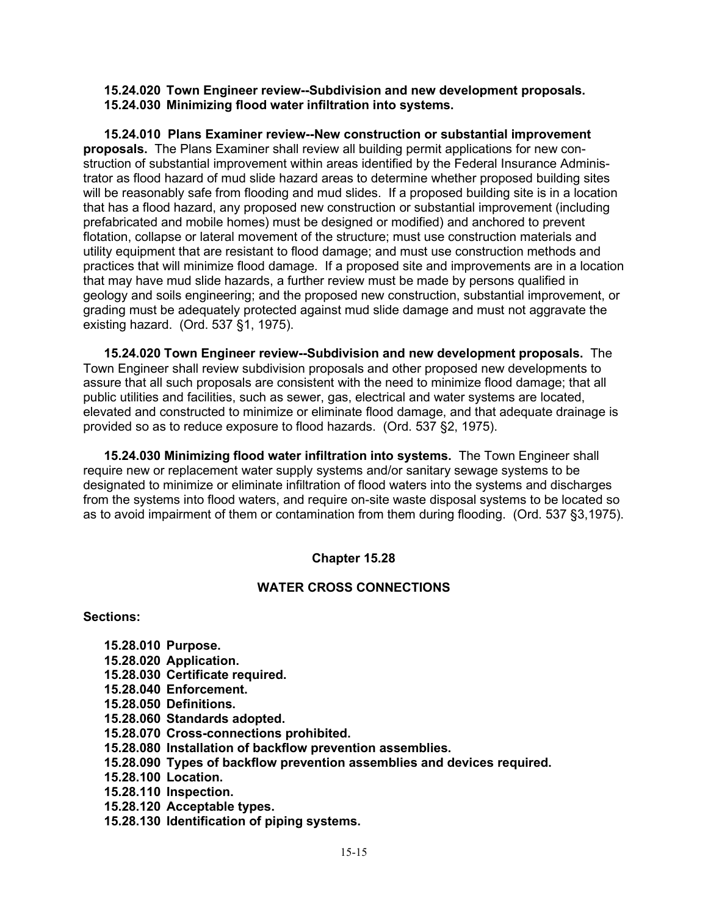**15.24.020 Town Engineer review--Subdivision and new development proposals. 15.24.030 Minimizing flood water infiltration into systems.**

**15.24.010 Plans Examiner review--New construction or substantial improvement proposals.** The Plans Examiner shall review all building permit applications for new construction of substantial improvement within areas identified by the Federal Insurance Administrator as flood hazard of mud slide hazard areas to determine whether proposed building sites will be reasonably safe from flooding and mud slides. If a proposed building site is in a location that has a flood hazard, any proposed new construction or substantial improvement (including prefabricated and mobile homes) must be designed or modified) and anchored to prevent flotation, collapse or lateral movement of the structure; must use construction materials and utility equipment that are resistant to flood damage; and must use construction methods and practices that will minimize flood damage. If a proposed site and improvements are in a location that may have mud slide hazards, a further review must be made by persons qualified in geology and soils engineering; and the proposed new construction, substantial improvement, or grading must be adequately protected against mud slide damage and must not aggravate the existing hazard. (Ord. 537 §1, 1975).

**15.24.020 Town Engineer review--Subdivision and new development proposals.** The Town Engineer shall review subdivision proposals and other proposed new developments to assure that all such proposals are consistent with the need to minimize flood damage; that all public utilities and facilities, such as sewer, gas, electrical and water systems are located, elevated and constructed to minimize or eliminate flood damage, and that adequate drainage is provided so as to reduce exposure to flood hazards. (Ord. 537 §2, 1975).

**15.24.030 Minimizing flood water infiltration into systems.** The Town Engineer shall require new or replacement water supply systems and/or sanitary sewage systems to be designated to minimize or eliminate infiltration of flood waters into the systems and discharges from the systems into flood waters, and require on-site waste disposal systems to be located so as to avoid impairment of them or contamination from them during flooding. (Ord. 537 §3,1975).

# **Chapter 15.28**

# **WATER CROSS CONNECTIONS**

**Sections:**

- **15.28.010 Purpose.**
- **15.28.020 Application.**
- **15.28.030 Certificate required.**
- **15.28.040 Enforcement.**
- **15.28.050 Definitions.**
- **15.28.060 Standards adopted.**
- **15.28.070 Cross-connections prohibited.**
- **15.28.080 Installation of backflow prevention assemblies.**
- **15.28.090 Types of backflow prevention assemblies and devices required.**
- **15.28.100 Location.**
- **15.28.110 Inspection.**
- **15.28.120 Acceptable types.**
- **15.28.130 Identification of piping systems.**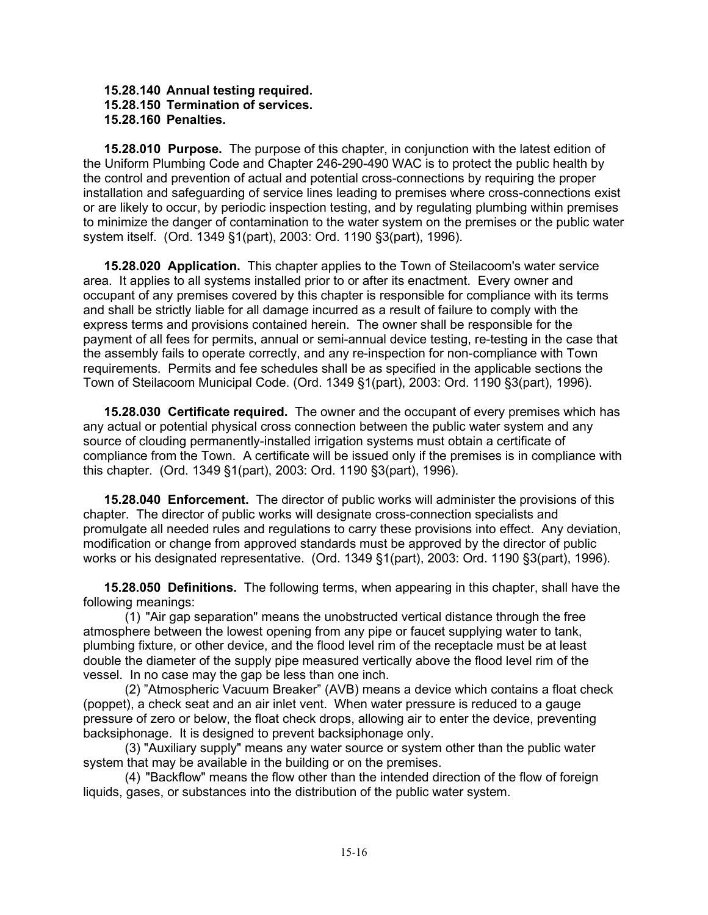### **15.28.140 Annual testing required. 15.28.150 Termination of services. 15.28.160 Penalties.**

**15.28.010 Purpose.** The purpose of this chapter, in conjunction with the latest edition of the Uniform Plumbing Code and Chapter 246-290-490 WAC is to protect the public health by the control and prevention of actual and potential cross-connections by requiring the proper installation and safeguarding of service lines leading to premises where cross-connections exist or are likely to occur, by periodic inspection testing, and by regulating plumbing within premises to minimize the danger of contamination to the water system on the premises or the public water system itself. (Ord. 1349 §1(part), 2003: Ord. 1190 §3(part), 1996).

**15.28.020 Application.** This chapter applies to the Town of Steilacoom's water service area. It applies to all systems installed prior to or after its enactment. Every owner and occupant of any premises covered by this chapter is responsible for compliance with its terms and shall be strictly liable for all damage incurred as a result of failure to comply with the express terms and provisions contained herein. The owner shall be responsible for the payment of all fees for permits, annual or semi-annual device testing, re-testing in the case that the assembly fails to operate correctly, and any re-inspection for non-compliance with Town requirements. Permits and fee schedules shall be as specified in the applicable sections the Town of Steilacoom Municipal Code. (Ord. 1349 §1(part), 2003: Ord. 1190 §3(part), 1996).

**15.28.030 Certificate required.** The owner and the occupant of every premises which has any actual or potential physical cross connection between the public water system and any source of clouding permanently-installed irrigation systems must obtain a certificate of compliance from the Town. A certificate will be issued only if the premises is in compliance with this chapter. (Ord. 1349 §1(part), 2003: Ord. 1190 §3(part), 1996).

**15.28.040 Enforcement.** The director of public works will administer the provisions of this chapter. The director of public works will designate cross-connection specialists and promulgate all needed rules and regulations to carry these provisions into effect. Any deviation, modification or change from approved standards must be approved by the director of public works or his designated representative. (Ord. 1349 §1(part), 2003: Ord. 1190 §3(part), 1996).

**15.28.050 Definitions.** The following terms, when appearing in this chapter, shall have the following meanings:

(1) "Air gap separation" means the unobstructed vertical distance through the free atmosphere between the lowest opening from any pipe or faucet supplying water to tank, plumbing fixture, or other device, and the flood level rim of the receptacle must be at least double the diameter of the supply pipe measured vertically above the flood level rim of the vessel. In no case may the gap be less than one inch.

(2) "Atmospheric Vacuum Breaker" (AVB) means a device which contains a float check (poppet), a check seat and an air inlet vent. When water pressure is reduced to a gauge pressure of zero or below, the float check drops, allowing air to enter the device, preventing backsiphonage. It is designed to prevent backsiphonage only.

(3) "Auxiliary supply" means any water source or system other than the public water system that may be available in the building or on the premises.

(4) "Backflow" means the flow other than the intended direction of the flow of foreign liquids, gases, or substances into the distribution of the public water system.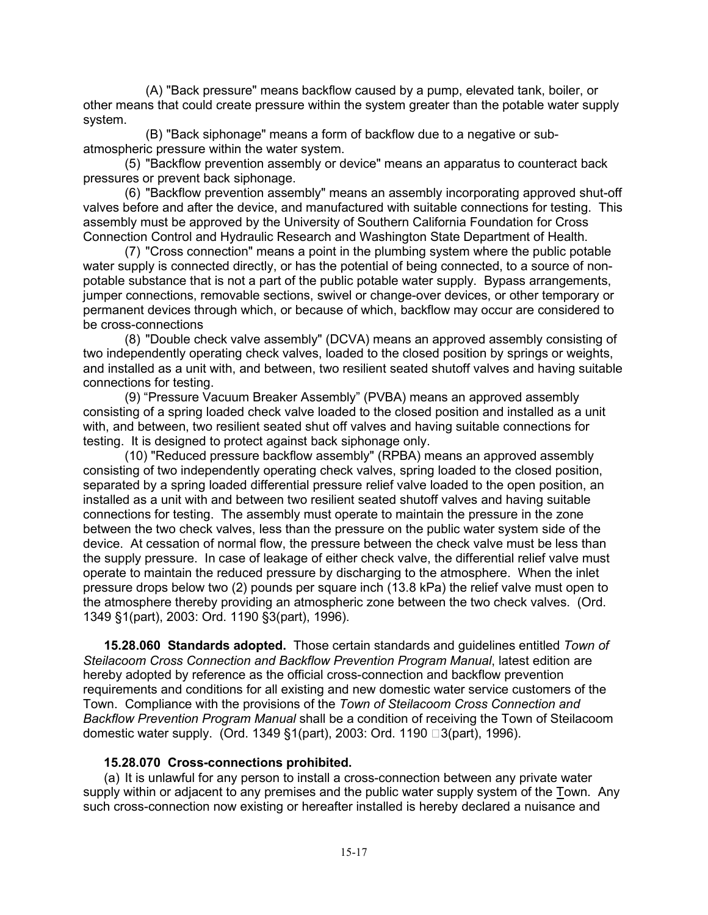(A) "Back pressure" means backflow caused by a pump, elevated tank, boiler, or other means that could create pressure within the system greater than the potable water supply system.

(B) "Back siphonage" means a form of backflow due to a negative or subatmospheric pressure within the water system.

(5) "Backflow prevention assembly or device" means an apparatus to counteract back pressures or prevent back siphonage.

(6) "Backflow prevention assembly" means an assembly incorporating approved shut-off valves before and after the device, and manufactured with suitable connections for testing. This assembly must be approved by the University of Southern California Foundation for Cross Connection Control and Hydraulic Research and Washington State Department of Health.

(7) "Cross connection" means a point in the plumbing system where the public potable water supply is connected directly, or has the potential of being connected, to a source of nonpotable substance that is not a part of the public potable water supply. Bypass arrangements, jumper connections, removable sections, swivel or change-over devices, or other temporary or permanent devices through which, or because of which, backflow may occur are considered to be cross-connections

(8) "Double check valve assembly" (DCVA) means an approved assembly consisting of two independently operating check valves, loaded to the closed position by springs or weights, and installed as a unit with, and between, two resilient seated shutoff valves and having suitable connections for testing.

(9) "Pressure Vacuum Breaker Assembly" (PVBA) means an approved assembly consisting of a spring loaded check valve loaded to the closed position and installed as a unit with, and between, two resilient seated shut off valves and having suitable connections for testing. It is designed to protect against back siphonage only.

(10) "Reduced pressure backflow assembly" (RPBA) means an approved assembly consisting of two independently operating check valves, spring loaded to the closed position, separated by a spring loaded differential pressure relief valve loaded to the open position, an installed as a unit with and between two resilient seated shutoff valves and having suitable connections for testing. The assembly must operate to maintain the pressure in the zone between the two check valves, less than the pressure on the public water system side of the device. At cessation of normal flow, the pressure between the check valve must be less than the supply pressure. In case of leakage of either check valve, the differential relief valve must operate to maintain the reduced pressure by discharging to the atmosphere. When the inlet pressure drops below two (2) pounds per square inch (13.8 kPa) the relief valve must open to the atmosphere thereby providing an atmospheric zone between the two check valves. (Ord. 1349 §1(part), 2003: Ord. 1190 §3(part), 1996).

**15.28.060 Standards adopted.** Those certain standards and guidelines entitled *Town of Steilacoom Cross Connection and Backflow Prevention Program Manual*, latest edition are hereby adopted by reference as the official cross-connection and backflow prevention requirements and conditions for all existing and new domestic water service customers of the Town. Compliance with the provisions of the *Town of Steilacoom Cross Connection and Backflow Prevention Program Manual* shall be a condition of receiving the Town of Steilacoom domestic water supply. (Ord. 1349 §1(part), 2003: Ord. 1190 □3(part), 1996).

### **15.28.070 Cross-connections prohibited.**

(a) It is unlawful for any person to install a cross-connection between any private water supply within or adjacent to any premises and the public water supply system of the Town. Any such cross-connection now existing or hereafter installed is hereby declared a nuisance and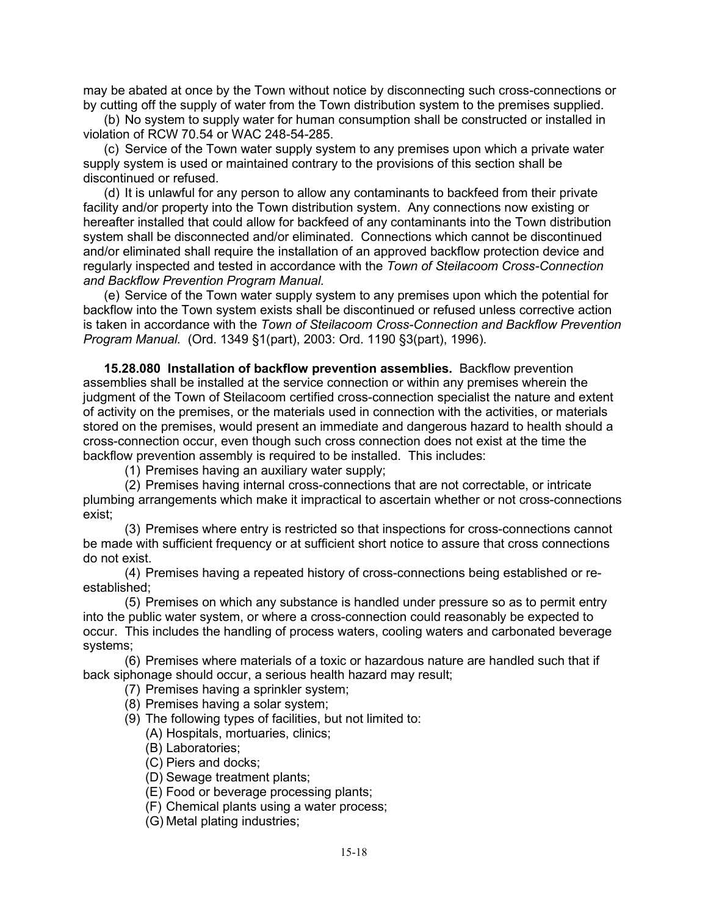may be abated at once by the Town without notice by disconnecting such cross-connections or by cutting off the supply of water from the Town distribution system to the premises supplied.

(b) No system to supply water for human consumption shall be constructed or installed in violation of RCW 70.54 or WAC 248-54-285.

(c) Service of the Town water supply system to any premises upon which a private water supply system is used or maintained contrary to the provisions of this section shall be discontinued or refused.

(d) It is unlawful for any person to allow any contaminants to backfeed from their private facility and/or property into the Town distribution system. Any connections now existing or hereafter installed that could allow for backfeed of any contaminants into the Town distribution system shall be disconnected and/or eliminated. Connections which cannot be discontinued and/or eliminated shall require the installation of an approved backflow protection device and regularly inspected and tested in accordance with the *Town of Steilacoom Cross-Connection and Backflow Prevention Program Manual.*

(e) Service of the Town water supply system to any premises upon which the potential for backflow into the Town system exists shall be discontinued or refused unless corrective action is taken in accordance with the *Town of Steilacoom Cross-Connection and Backflow Prevention Program Manual.* (Ord. 1349 §1(part), 2003: Ord. 1190 §3(part), 1996).

**15.28.080 Installation of backflow prevention assemblies.** Backflow prevention assemblies shall be installed at the service connection or within any premises wherein the judgment of the Town of Steilacoom certified cross-connection specialist the nature and extent of activity on the premises, or the materials used in connection with the activities, or materials stored on the premises, would present an immediate and dangerous hazard to health should a cross-connection occur, even though such cross connection does not exist at the time the backflow prevention assembly is required to be installed. This includes:

(1) Premises having an auxiliary water supply;

(2) Premises having internal cross-connections that are not correctable, or intricate plumbing arrangements which make it impractical to ascertain whether or not cross-connections exist;

(3) Premises where entry is restricted so that inspections for cross-connections cannot be made with sufficient frequency or at sufficient short notice to assure that cross connections do not exist.

(4) Premises having a repeated history of cross-connections being established or reestablished;

(5) Premises on which any substance is handled under pressure so as to permit entry into the public water system, or where a cross-connection could reasonably be expected to occur. This includes the handling of process waters, cooling waters and carbonated beverage systems;

(6) Premises where materials of a toxic or hazardous nature are handled such that if back siphonage should occur, a serious health hazard may result;

(7) Premises having a sprinkler system;

(8) Premises having a solar system;

(9) The following types of facilities, but not limited to:

(A) Hospitals, mortuaries, clinics;

- (B) Laboratories;
- (C) Piers and docks;

(D) Sewage treatment plants;

(E) Food or beverage processing plants;

(F) Chemical plants using a water process;

(G) Metal plating industries;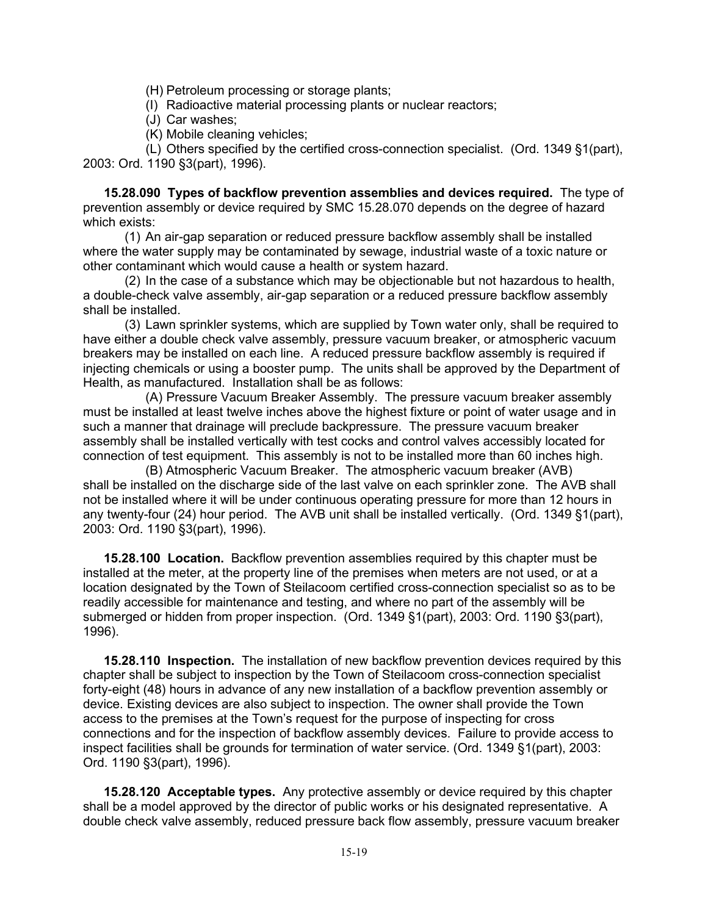(H) Petroleum processing or storage plants;

(I) Radioactive material processing plants or nuclear reactors;

(J) Car washes;

(K) Mobile cleaning vehicles;

(L) Others specified by the certified cross-connection specialist. (Ord. 1349 §1(part), 2003: Ord. 1190 §3(part), 1996).

**15.28.090 Types of backflow prevention assemblies and devices required.** The type of prevention assembly or device required by SMC 15.28.070 depends on the degree of hazard which exists:

(1) An air-gap separation or reduced pressure backflow assembly shall be installed where the water supply may be contaminated by sewage, industrial waste of a toxic nature or other contaminant which would cause a health or system hazard.

(2) In the case of a substance which may be objectionable but not hazardous to health, a double-check valve assembly, air-gap separation or a reduced pressure backflow assembly shall be installed.

(3) Lawn sprinkler systems, which are supplied by Town water only, shall be required to have either a double check valve assembly, pressure vacuum breaker, or atmospheric vacuum breakers may be installed on each line. A reduced pressure backflow assembly is required if injecting chemicals or using a booster pump. The units shall be approved by the Department of Health, as manufactured. Installation shall be as follows:

(A) Pressure Vacuum Breaker Assembly. The pressure vacuum breaker assembly must be installed at least twelve inches above the highest fixture or point of water usage and in such a manner that drainage will preclude backpressure. The pressure vacuum breaker assembly shall be installed vertically with test cocks and control valves accessibly located for connection of test equipment. This assembly is not to be installed more than 60 inches high.

(B) Atmospheric Vacuum Breaker. The atmospheric vacuum breaker (AVB) shall be installed on the discharge side of the last valve on each sprinkler zone. The AVB shall not be installed where it will be under continuous operating pressure for more than 12 hours in any twenty-four (24) hour period. The AVB unit shall be installed vertically. (Ord. 1349 §1(part), 2003: Ord. 1190 §3(part), 1996).

**15.28.100 Location.** Backflow prevention assemblies required by this chapter must be installed at the meter, at the property line of the premises when meters are not used, or at a location designated by the Town of Steilacoom certified cross-connection specialist so as to be readily accessible for maintenance and testing, and where no part of the assembly will be submerged or hidden from proper inspection. (Ord. 1349 §1(part), 2003: Ord. 1190 §3(part), 1996).

**15.28.110 Inspection.** The installation of new backflow prevention devices required by this chapter shall be subject to inspection by the Town of Steilacoom cross-connection specialist forty-eight (48) hours in advance of any new installation of a backflow prevention assembly or device. Existing devices are also subject to inspection. The owner shall provide the Town access to the premises at the Town's request for the purpose of inspecting for cross connections and for the inspection of backflow assembly devices. Failure to provide access to inspect facilities shall be grounds for termination of water service. (Ord. 1349 §1(part), 2003: Ord. 1190 §3(part), 1996).

**15.28.120 Acceptable types.** Any protective assembly or device required by this chapter shall be a model approved by the director of public works or his designated representative. A double check valve assembly, reduced pressure back flow assembly, pressure vacuum breaker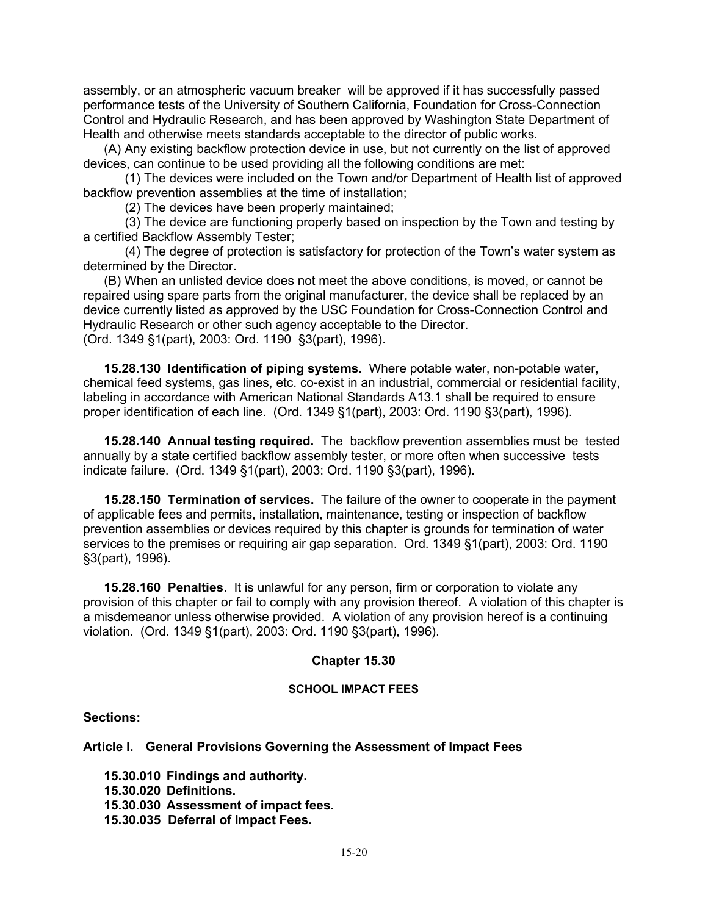assembly, or an atmospheric vacuum breaker will be approved if it has successfully passed performance tests of the University of Southern California, Foundation for Cross-Connection Control and Hydraulic Research, and has been approved by Washington State Department of Health and otherwise meets standards acceptable to the director of public works.

(A) Any existing backflow protection device in use, but not currently on the list of approved devices, can continue to be used providing all the following conditions are met:

(1) The devices were included on the Town and/or Department of Health list of approved backflow prevention assemblies at the time of installation;

(2) The devices have been properly maintained;

(3) The device are functioning properly based on inspection by the Town and testing by a certified Backflow Assembly Tester;

(4) The degree of protection is satisfactory for protection of the Town's water system as determined by the Director.

(B) When an unlisted device does not meet the above conditions, is moved, or cannot be repaired using spare parts from the original manufacturer, the device shall be replaced by an device currently listed as approved by the USC Foundation for Cross-Connection Control and Hydraulic Research or other such agency acceptable to the Director. (Ord. 1349 §1(part), 2003: Ord. 1190 §3(part), 1996).

**15.28.130 Identification of piping systems.** Where potable water, non-potable water, chemical feed systems, gas lines, etc. co-exist in an industrial, commercial or residential facility, labeling in accordance with American National Standards A13.1 shall be required to ensure proper identification of each line. (Ord. 1349 §1(part), 2003: Ord. 1190 §3(part), 1996).

**15.28.140 Annual testing required.** The backflow prevention assemblies must be tested annually by a state certified backflow assembly tester, or more often when successive tests indicate failure. (Ord. 1349 §1(part), 2003: Ord. 1190 §3(part), 1996).

**15.28.150 Termination of services.** The failure of the owner to cooperate in the payment of applicable fees and permits, installation, maintenance, testing or inspection of backflow prevention assemblies or devices required by this chapter is grounds for termination of water services to the premises or requiring air gap separation. Ord. 1349 §1(part), 2003: Ord. 1190 §3(part), 1996).

**15.28.160 Penalties**. It is unlawful for any person, firm or corporation to violate any provision of this chapter or fail to comply with any provision thereof. A violation of this chapter is a misdemeanor unless otherwise provided. A violation of any provision hereof is a continuing violation. (Ord. 1349 §1(part), 2003: Ord. 1190 §3(part), 1996).

### **Chapter 15.30**

#### **SCHOOL IMPACT FEES**

### **Sections:**

**Article I. General Provisions Governing the Assessment of Impact Fees**

**15.30.010 Findings and authority.**

- **15.30.020 Definitions.**
- **15.30.030 Assessment of impact fees.**

**15.30.035 Deferral of Impact Fees.**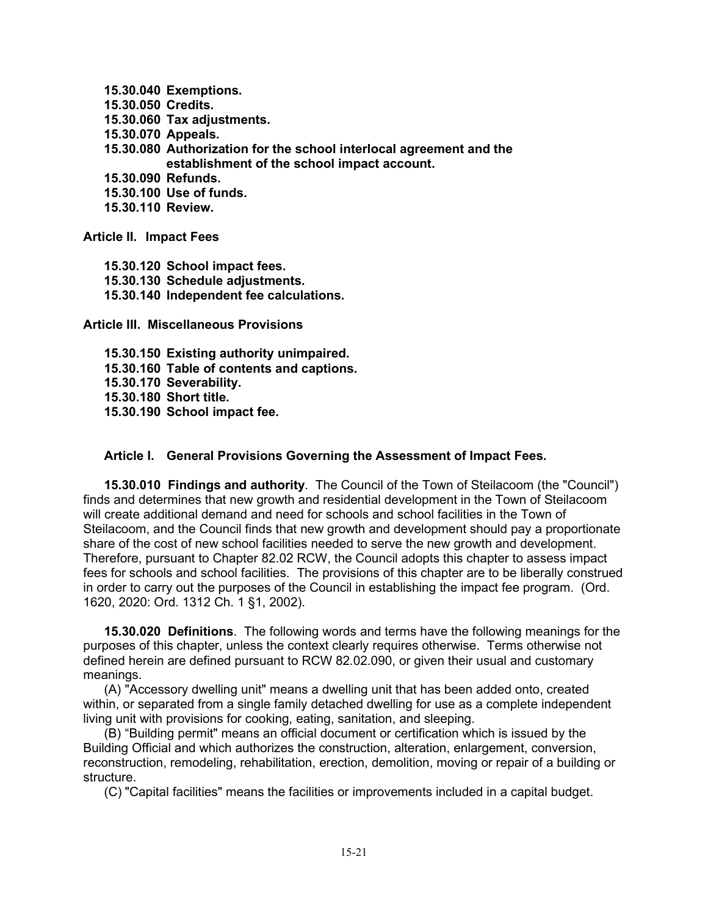- **15.30.040 Exemptions.**
- **15.30.050 Credits.**
- **15.30.060 Tax adjustments.**
- **15.30.070 Appeals.**
- **15.30.080 Authorization for the school interlocal agreement and the establishment of the school impact account.**
- **15.30.090 Refunds.**
- **15.30.100 Use of funds.**
- **15.30.110 Review.**

**Article II. Impact Fees**

- **15.30.120 School impact fees.**
- **15.30.130 Schedule adjustments.**
- **15.30.140 Independent fee calculations.**

**Article III. Miscellaneous Provisions**

**15.30.150 Existing authority unimpaired. 15.30.160 Table of contents and captions. 15.30.170 Severability. 15.30.180 Short title. 15.30.190 School impact fee.**

# **Article I. General Provisions Governing the Assessment of Impact Fees.**

**15.30.010 Findings and authority**. The Council of the Town of Steilacoom (the "Council") finds and determines that new growth and residential development in the Town of Steilacoom will create additional demand and need for schools and school facilities in the Town of Steilacoom, and the Council finds that new growth and development should pay a proportionate share of the cost of new school facilities needed to serve the new growth and development. Therefore, pursuant to Chapter 82.02 RCW, the Council adopts this chapter to assess impact fees for schools and school facilities. The provisions of this chapter are to be liberally construed in order to carry out the purposes of the Council in establishing the impact fee program. (Ord. 1620, 2020: Ord. 1312 Ch. 1 §1, 2002).

**15.30.020 Definitions**. The following words and terms have the following meanings for the purposes of this chapter, unless the context clearly requires otherwise. Terms otherwise not defined herein are defined pursuant to RCW 82.02.090, or given their usual and customary meanings.

(A) "Accessory dwelling unit" means a dwelling unit that has been added onto, created within, or separated from a single family detached dwelling for use as a complete independent living unit with provisions for cooking, eating, sanitation, and sleeping.

(B) "Building permit" means an official document or certification which is issued by the Building Official and which authorizes the construction, alteration, enlargement, conversion, reconstruction, remodeling, rehabilitation, erection, demolition, moving or repair of a building or structure.

(C) "Capital facilities" means the facilities or improvements included in a capital budget.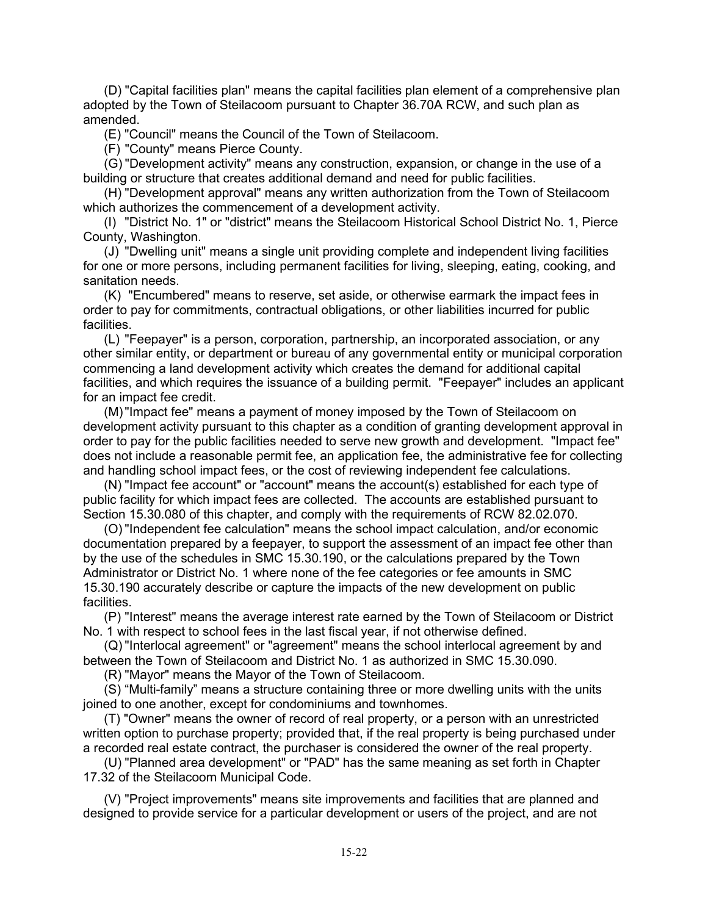(D) "Capital facilities plan" means the capital facilities plan element of a comprehensive plan adopted by the Town of Steilacoom pursuant to Chapter 36.70A RCW, and such plan as amended.

(E) "Council" means the Council of the Town of Steilacoom.

(F) "County" means Pierce County.

(G) "Development activity" means any construction, expansion, or change in the use of a building or structure that creates additional demand and need for public facilities.

(H) "Development approval" means any written authorization from the Town of Steilacoom which authorizes the commencement of a development activity.

(I) "District No. 1" or "district" means the Steilacoom Historical School District No. 1, Pierce County, Washington.

(J) "Dwelling unit" means a single unit providing complete and independent living facilities for one or more persons, including permanent facilities for living, sleeping, eating, cooking, and sanitation needs.

(K) "Encumbered" means to reserve, set aside, or otherwise earmark the impact fees in order to pay for commitments, contractual obligations, or other liabilities incurred for public facilities.

(L) "Feepayer" is a person, corporation, partnership, an incorporated association, or any other similar entity, or department or bureau of any governmental entity or municipal corporation commencing a land development activity which creates the demand for additional capital facilities, and which requires the issuance of a building permit. "Feepayer" includes an applicant for an impact fee credit.

(M)"Impact fee" means a payment of money imposed by the Town of Steilacoom on development activity pursuant to this chapter as a condition of granting development approval in order to pay for the public facilities needed to serve new growth and development. "Impact fee" does not include a reasonable permit fee, an application fee, the administrative fee for collecting and handling school impact fees, or the cost of reviewing independent fee calculations.

(N) "Impact fee account" or "account" means the account(s) established for each type of public facility for which impact fees are collected. The accounts are established pursuant to Section 15.30.080 of this chapter, and comply with the requirements of RCW 82.02.070.

(O) "Independent fee calculation" means the school impact calculation, and/or economic documentation prepared by a feepayer, to support the assessment of an impact fee other than by the use of the schedules in SMC 15.30.190, or the calculations prepared by the Town Administrator or District No. 1 where none of the fee categories or fee amounts in SMC 15.30.190 accurately describe or capture the impacts of the new development on public facilities.

(P) "Interest" means the average interest rate earned by the Town of Steilacoom or District No. 1 with respect to school fees in the last fiscal year, if not otherwise defined.

(Q) "Interlocal agreement" or "agreement" means the school interlocal agreement by and between the Town of Steilacoom and District No. 1 as authorized in SMC 15.30.090.

(R) "Mayor" means the Mayor of the Town of Steilacoom.

(S) "Multi-family" means a structure containing three or more dwelling units with the units joined to one another, except for condominiums and townhomes.

(T) "Owner" means the owner of record of real property, or a person with an unrestricted written option to purchase property; provided that, if the real property is being purchased under a recorded real estate contract, the purchaser is considered the owner of the real property.

(U) "Planned area development" or "PAD" has the same meaning as set forth in Chapter 17.32 of the Steilacoom Municipal Code.

(V) "Project improvements" means site improvements and facilities that are planned and designed to provide service for a particular development or users of the project, and are not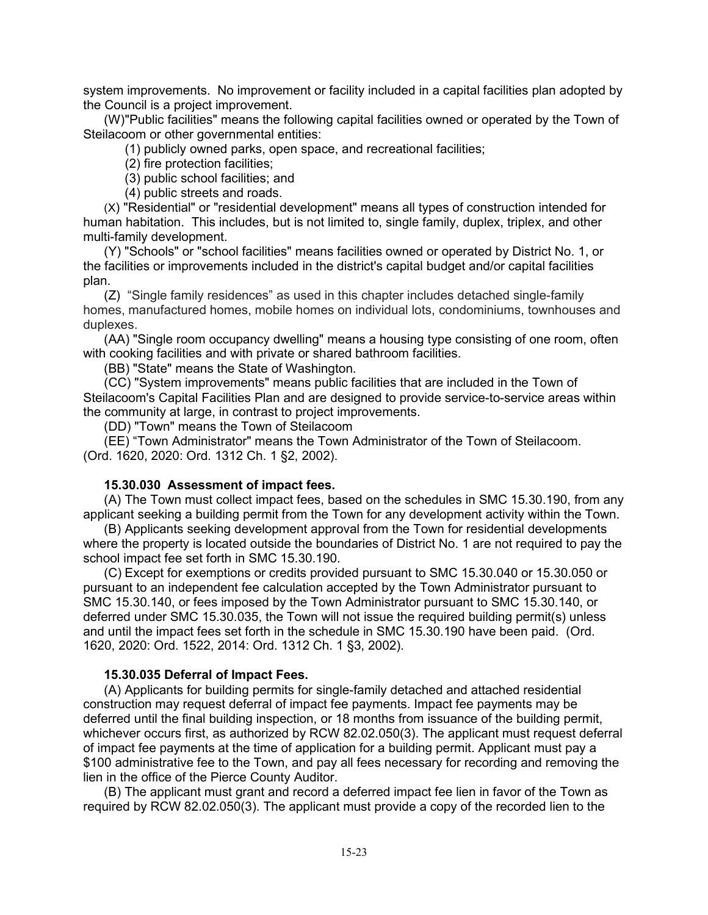system improvements. No improvement or facility included in a capital facilities plan adopted by the Council is a project improvement.

(W)"Public facilities" means the following capital facilities owned or operated by the Town of Steilacoom or other governmental entities:

(1) publicly owned parks, open space, and recreational facilities;

(2) fire protection facilities;

(3) public school facilities; and

(4) public streets and roads.

(X) "Residential" or "residential development" means all types of construction intended for human habitation. This includes, but is not limited to, single family, duplex, triplex, and other multi-family development.

(Y) "Schools" or "school facilities" means facilities owned or operated by District No. 1, or the facilities or improvements included in the district's capital budget and/or capital facilities plan.

(Z) "Single family residences" as used in this chapter includes detached single-family homes, manufactured homes, mobile homes on individual lots, condominiums, townhouses and duplexes.

(AA) "Single room occupancy dwelling" means a housing type consisting of one room, often with cooking facilities and with private or shared bathroom facilities.

(BB) "State" means the State of Washington.

(CC) "System improvements" means public facilities that are included in the Town of Steilacoom's Capital Facilities Plan and are designed to provide service-to-service areas within the community at large, in contrast to project improvements.

(DD) "Town" means the Town of Steilacoom

(EE) "Town Administrator" means the Town Administrator of the Town of Steilacoom. (Ord. 1620, 2020: Ord. 1312 Ch. 1 §2, 2002).

# **15.30.030 Assessment of impact fees.**

(A) The Town must collect impact fees, based on the schedules in SMC 15.30.190, from any applicant seeking a building permit from the Town for any development activity within the Town.

(B) Applicants seeking development approval from the Town for residential developments where the property is located outside the boundaries of District No. 1 are not required to pay the school impact fee set forth in SMC 15.30.190.

(C) Except for exemptions or credits provided pursuant to SMC 15.30.040 or 15.30.050 or pursuant to an independent fee calculation accepted by the Town Administrator pursuant to SMC 15.30.140, or fees imposed by the Town Administrator pursuant to SMC 15.30.140, or deferred under SMC 15.30.035, the Town will not issue the required building permit(s) unless and until the impact fees set forth in the schedule in SMC 15.30.190 have been paid. (Ord. 1620, 2020: Ord. 1522, 2014: Ord. 1312 Ch. 1 §3, 2002).

### **15.30.035 Deferral of Impact Fees.**

(A) Applicants for building permits for single-family detached and attached residential construction may request deferral of impact fee payments. Impact fee payments may be deferred until the final building inspection, or 18 months from issuance of the building permit, whichever occurs first, as authorized by RCW 82.02.050(3). The applicant must request deferral of impact fee payments at the time of application for a building permit. Applicant must pay a \$100 administrative fee to the Town, and pay all fees necessary for recording and removing the lien in the office of the Pierce County Auditor.

(B) The applicant must grant and record a deferred impact fee lien in favor of the Town as required by RCW 82.02.050(3). The applicant must provide a copy of the recorded lien to the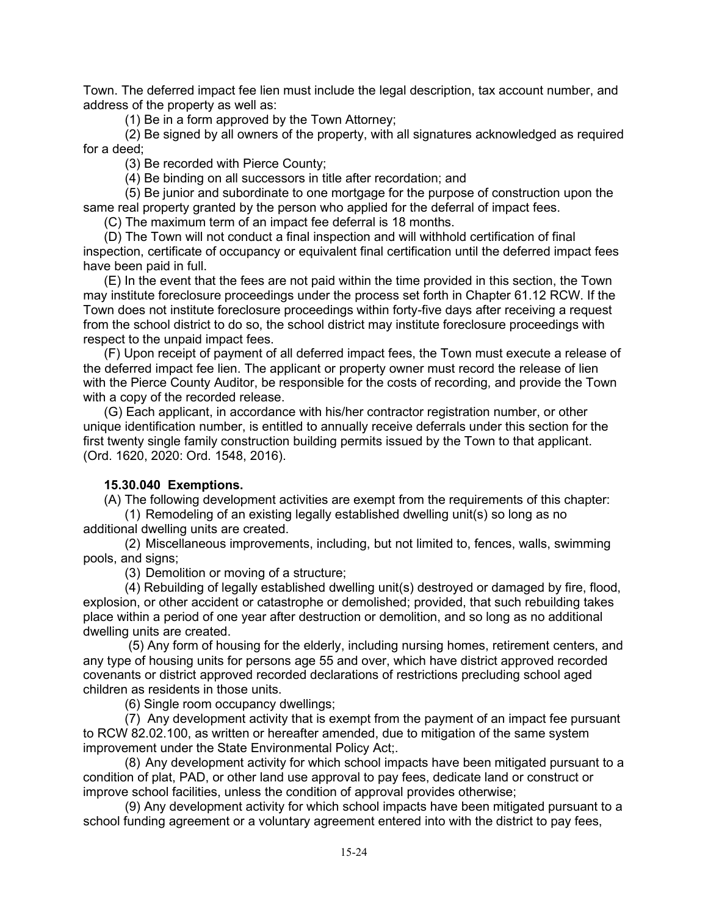Town. The deferred impact fee lien must include the legal description, tax account number, and address of the property as well as:

(1) Be in a form approved by the Town Attorney;

(2) Be signed by all owners of the property, with all signatures acknowledged as required for a deed;

(3) Be recorded with Pierce County;

(4) Be binding on all successors in title after recordation; and

(5) Be junior and subordinate to one mortgage for the purpose of construction upon the same real property granted by the person who applied for the deferral of impact fees.

(C) The maximum term of an impact fee deferral is 18 months.

(D) The Town will not conduct a final inspection and will withhold certification of final inspection, certificate of occupancy or equivalent final certification until the deferred impact fees have been paid in full.

(E) In the event that the fees are not paid within the time provided in this section, the Town may institute foreclosure proceedings under the process set forth in Chapter 61.12 RCW. If the Town does not institute foreclosure proceedings within forty-five days after receiving a request from the school district to do so, the school district may institute foreclosure proceedings with respect to the unpaid impact fees.

(F) Upon receipt of payment of all deferred impact fees, the Town must execute a release of the deferred impact fee lien. The applicant or property owner must record the release of lien with the Pierce County Auditor, be responsible for the costs of recording, and provide the Town with a copy of the recorded release.

(G) Each applicant, in accordance with his/her contractor registration number, or other unique identification number, is entitled to annually receive deferrals under this section for the first twenty single family construction building permits issued by the Town to that applicant. (Ord. 1620, 2020: Ord. 1548, 2016).

### **15.30.040 Exemptions.**

(A) The following development activities are exempt from the requirements of this chapter:

(1) Remodeling of an existing legally established dwelling unit(s) so long as no additional dwelling units are created.

(2) Miscellaneous improvements, including, but not limited to, fences, walls, swimming pools, and signs;

(3) Demolition or moving of a structure;

(4) Rebuilding of legally established dwelling unit(s) destroyed or damaged by fire, flood, explosion, or other accident or catastrophe or demolished; provided, that such rebuilding takes place within a period of one year after destruction or demolition, and so long as no additional dwelling units are created.

(5) Any form of housing for the elderly, including nursing homes, retirement centers, and any type of housing units for persons age 55 and over, which have district approved recorded covenants or district approved recorded declarations of restrictions precluding school aged children as residents in those units.

(6) Single room occupancy dwellings;

(7) Any development activity that is exempt from the payment of an impact fee pursuant to RCW 82.02.100, as written or hereafter amended, due to mitigation of the same system improvement under the State Environmental Policy Act;.

(8) Any development activity for which school impacts have been mitigated pursuant to a condition of plat, PAD, or other land use approval to pay fees, dedicate land or construct or improve school facilities, unless the condition of approval provides otherwise;

(9) Any development activity for which school impacts have been mitigated pursuant to a school funding agreement or a voluntary agreement entered into with the district to pay fees,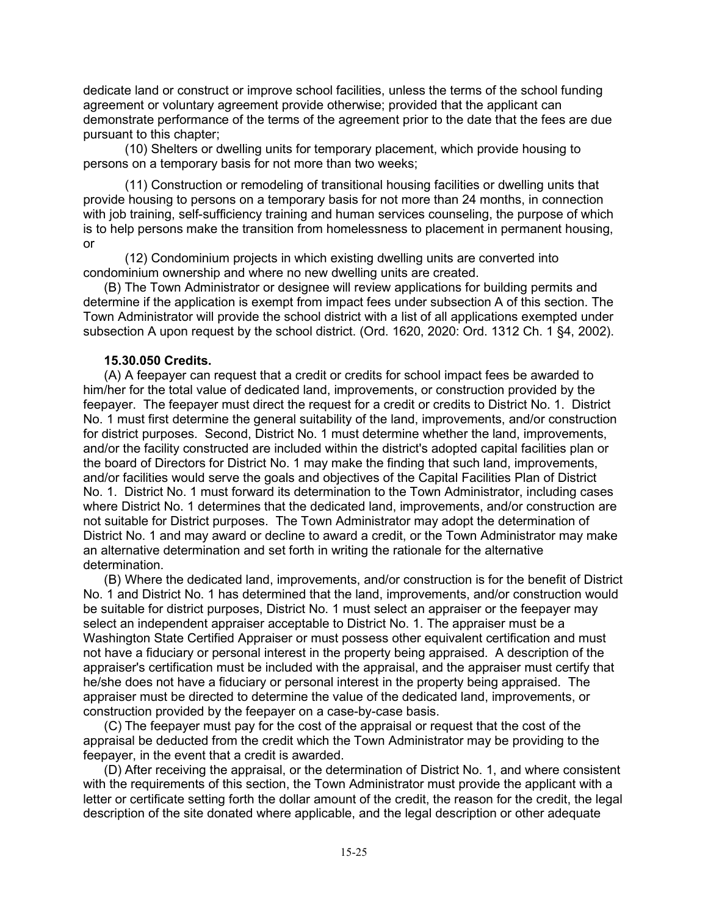dedicate land or construct or improve school facilities, unless the terms of the school funding agreement or voluntary agreement provide otherwise; provided that the applicant can demonstrate performance of the terms of the agreement prior to the date that the fees are due pursuant to this chapter;

(10) Shelters or dwelling units for temporary placement, which provide housing to persons on a temporary basis for not more than two weeks;

(11) Construction or remodeling of transitional housing facilities or dwelling units that provide housing to persons on a temporary basis for not more than 24 months, in connection with job training, self-sufficiency training and human services counseling, the purpose of which is to help persons make the transition from homelessness to placement in permanent housing, or

(12) Condominium projects in which existing dwelling units are converted into condominium ownership and where no new dwelling units are created.

(B) The Town Administrator or designee will review applications for building permits and determine if the application is exempt from impact fees under subsection A of this section. The Town Administrator will provide the school district with a list of all applications exempted under subsection A upon request by the school district. (Ord. 1620, 2020: Ord. 1312 Ch. 1 §4, 2002).

#### **15.30.050 Credits.**

(A) A feepayer can request that a credit or credits for school impact fees be awarded to him/her for the total value of dedicated land, improvements, or construction provided by the feepayer. The feepayer must direct the request for a credit or credits to District No. 1. District No. 1 must first determine the general suitability of the land, improvements, and/or construction for district purposes. Second, District No. 1 must determine whether the land, improvements, and/or the facility constructed are included within the district's adopted capital facilities plan or the board of Directors for District No. 1 may make the finding that such land, improvements, and/or facilities would serve the goals and objectives of the Capital Facilities Plan of District No. 1. District No. 1 must forward its determination to the Town Administrator, including cases where District No. 1 determines that the dedicated land, improvements, and/or construction are not suitable for District purposes. The Town Administrator may adopt the determination of District No. 1 and may award or decline to award a credit, or the Town Administrator may make an alternative determination and set forth in writing the rationale for the alternative determination.

(B) Where the dedicated land, improvements, and/or construction is for the benefit of District No. 1 and District No. 1 has determined that the land, improvements, and/or construction would be suitable for district purposes, District No. 1 must select an appraiser or the feepayer may select an independent appraiser acceptable to District No. 1. The appraiser must be a Washington State Certified Appraiser or must possess other equivalent certification and must not have a fiduciary or personal interest in the property being appraised. A description of the appraiser's certification must be included with the appraisal, and the appraiser must certify that he/she does not have a fiduciary or personal interest in the property being appraised. The appraiser must be directed to determine the value of the dedicated land, improvements, or construction provided by the feepayer on a case-by-case basis.

(C) The feepayer must pay for the cost of the appraisal or request that the cost of the appraisal be deducted from the credit which the Town Administrator may be providing to the feepayer, in the event that a credit is awarded.

(D) After receiving the appraisal, or the determination of District No. 1, and where consistent with the requirements of this section, the Town Administrator must provide the applicant with a letter or certificate setting forth the dollar amount of the credit, the reason for the credit, the legal description of the site donated where applicable, and the legal description or other adequate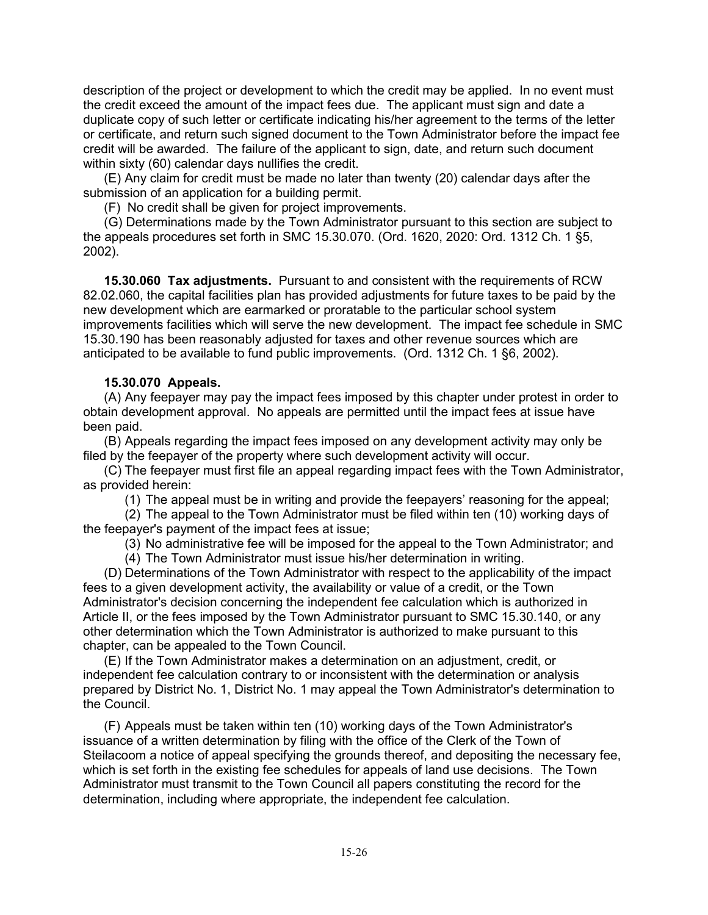description of the project or development to which the credit may be applied. In no event must the credit exceed the amount of the impact fees due. The applicant must sign and date a duplicate copy of such letter or certificate indicating his/her agreement to the terms of the letter or certificate, and return such signed document to the Town Administrator before the impact fee credit will be awarded. The failure of the applicant to sign, date, and return such document within sixty (60) calendar days nullifies the credit.

(E) Any claim for credit must be made no later than twenty (20) calendar days after the submission of an application for a building permit.

(F) No credit shall be given for project improvements.

(G) Determinations made by the Town Administrator pursuant to this section are subject to the appeals procedures set forth in SMC 15.30.070. (Ord. 1620, 2020: Ord. 1312 Ch. 1 §5, 2002).

**15.30.060 Tax adjustments.** Pursuant to and consistent with the requirements of RCW 82.02.060, the capital facilities plan has provided adjustments for future taxes to be paid by the new development which are earmarked or proratable to the particular school system improvements facilities which will serve the new development. The impact fee schedule in SMC 15.30.190 has been reasonably adjusted for taxes and other revenue sources which are anticipated to be available to fund public improvements. (Ord. 1312 Ch. 1 §6, 2002).

# **15.30.070 Appeals.**

(A) Any feepayer may pay the impact fees imposed by this chapter under protest in order to obtain development approval. No appeals are permitted until the impact fees at issue have been paid.

(B) Appeals regarding the impact fees imposed on any development activity may only be filed by the feepayer of the property where such development activity will occur.

(C) The feepayer must first file an appeal regarding impact fees with the Town Administrator, as provided herein:

(1) The appeal must be in writing and provide the feepayers' reasoning for the appeal;

(2) The appeal to the Town Administrator must be filed within ten (10) working days of the feepayer's payment of the impact fees at issue;

(3) No administrative fee will be imposed for the appeal to the Town Administrator; and

(4) The Town Administrator must issue his/her determination in writing.

(D) Determinations of the Town Administrator with respect to the applicability of the impact fees to a given development activity, the availability or value of a credit, or the Town Administrator's decision concerning the independent fee calculation which is authorized in Article II, or the fees imposed by the Town Administrator pursuant to SMC 15.30.140, or any other determination which the Town Administrator is authorized to make pursuant to this chapter, can be appealed to the Town Council.

(E) If the Town Administrator makes a determination on an adjustment, credit, or independent fee calculation contrary to or inconsistent with the determination or analysis prepared by District No. 1, District No. 1 may appeal the Town Administrator's determination to the Council.

(F) Appeals must be taken within ten (10) working days of the Town Administrator's issuance of a written determination by filing with the office of the Clerk of the Town of Steilacoom a notice of appeal specifying the grounds thereof, and depositing the necessary fee, which is set forth in the existing fee schedules for appeals of land use decisions. The Town Administrator must transmit to the Town Council all papers constituting the record for the determination, including where appropriate, the independent fee calculation.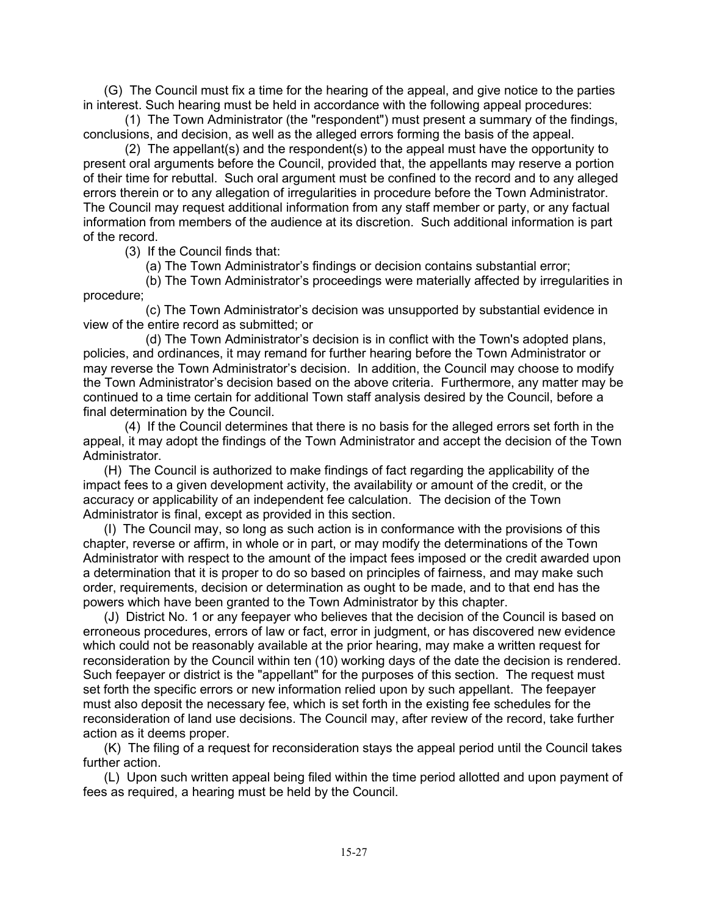(G) The Council must fix a time for the hearing of the appeal, and give notice to the parties in interest. Such hearing must be held in accordance with the following appeal procedures:

(1) The Town Administrator (the "respondent") must present a summary of the findings, conclusions, and decision, as well as the alleged errors forming the basis of the appeal.

(2) The appellant(s) and the respondent(s) to the appeal must have the opportunity to present oral arguments before the Council, provided that, the appellants may reserve a portion of their time for rebuttal. Such oral argument must be confined to the record and to any alleged errors therein or to any allegation of irregularities in procedure before the Town Administrator. The Council may request additional information from any staff member or party, or any factual information from members of the audience at its discretion. Such additional information is part of the record.

(3) If the Council finds that:

(a) The Town Administrator's findings or decision contains substantial error;

(b) The Town Administrator's proceedings were materially affected by irregularities in procedure;

(c) The Town Administrator's decision was unsupported by substantial evidence in view of the entire record as submitted; or

(d) The Town Administrator's decision is in conflict with the Town's adopted plans, policies, and ordinances, it may remand for further hearing before the Town Administrator or may reverse the Town Administrator's decision. In addition, the Council may choose to modify the Town Administrator's decision based on the above criteria. Furthermore, any matter may be continued to a time certain for additional Town staff analysis desired by the Council, before a final determination by the Council.

(4) If the Council determines that there is no basis for the alleged errors set forth in the appeal, it may adopt the findings of the Town Administrator and accept the decision of the Town Administrator.

(H) The Council is authorized to make findings of fact regarding the applicability of the impact fees to a given development activity, the availability or amount of the credit, or the accuracy or applicability of an independent fee calculation. The decision of the Town Administrator is final, except as provided in this section.

(I) The Council may, so long as such action is in conformance with the provisions of this chapter, reverse or affirm, in whole or in part, or may modify the determinations of the Town Administrator with respect to the amount of the impact fees imposed or the credit awarded upon a determination that it is proper to do so based on principles of fairness, and may make such order, requirements, decision or determination as ought to be made, and to that end has the powers which have been granted to the Town Administrator by this chapter.

(J) District No. 1 or any feepayer who believes that the decision of the Council is based on erroneous procedures, errors of law or fact, error in judgment, or has discovered new evidence which could not be reasonably available at the prior hearing, may make a written request for reconsideration by the Council within ten (10) working days of the date the decision is rendered. Such feepayer or district is the "appellant" for the purposes of this section. The request must set forth the specific errors or new information relied upon by such appellant. The feepayer must also deposit the necessary fee, which is set forth in the existing fee schedules for the reconsideration of land use decisions. The Council may, after review of the record, take further action as it deems proper.

(K) The filing of a request for reconsideration stays the appeal period until the Council takes further action.

(L) Upon such written appeal being filed within the time period allotted and upon payment of fees as required, a hearing must be held by the Council.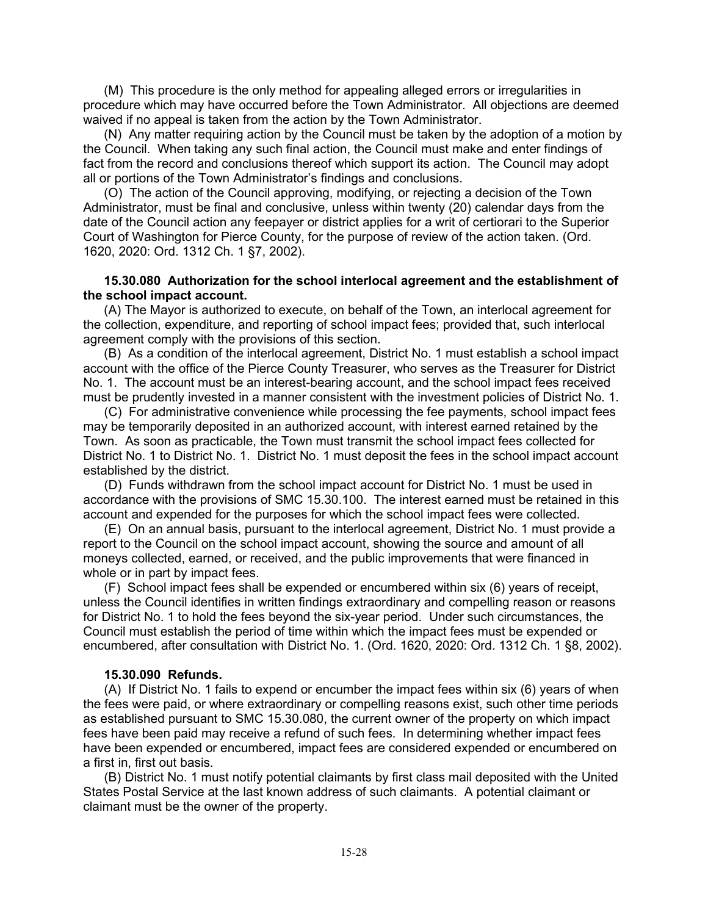(M) This procedure is the only method for appealing alleged errors or irregularities in procedure which may have occurred before the Town Administrator. All objections are deemed waived if no appeal is taken from the action by the Town Administrator.

(N) Any matter requiring action by the Council must be taken by the adoption of a motion by the Council. When taking any such final action, the Council must make and enter findings of fact from the record and conclusions thereof which support its action. The Council may adopt all or portions of the Town Administrator's findings and conclusions.

(O) The action of the Council approving, modifying, or rejecting a decision of the Town Administrator, must be final and conclusive, unless within twenty (20) calendar days from the date of the Council action any feepayer or district applies for a writ of certiorari to the Superior Court of Washington for Pierce County, for the purpose of review of the action taken. (Ord. 1620, 2020: Ord. 1312 Ch. 1 §7, 2002).

### **15.30.080 Authorization for the school interlocal agreement and the establishment of the school impact account.**

(A) The Mayor is authorized to execute, on behalf of the Town, an interlocal agreement for the collection, expenditure, and reporting of school impact fees; provided that, such interlocal agreement comply with the provisions of this section.

(B) As a condition of the interlocal agreement, District No. 1 must establish a school impact account with the office of the Pierce County Treasurer, who serves as the Treasurer for District No. 1. The account must be an interest-bearing account, and the school impact fees received must be prudently invested in a manner consistent with the investment policies of District No. 1.

(C) For administrative convenience while processing the fee payments, school impact fees may be temporarily deposited in an authorized account, with interest earned retained by the Town. As soon as practicable, the Town must transmit the school impact fees collected for District No. 1 to District No. 1. District No. 1 must deposit the fees in the school impact account established by the district.

(D) Funds withdrawn from the school impact account for District No. 1 must be used in accordance with the provisions of SMC 15.30.100. The interest earned must be retained in this account and expended for the purposes for which the school impact fees were collected.

(E) On an annual basis, pursuant to the interlocal agreement, District No. 1 must provide a report to the Council on the school impact account, showing the source and amount of all moneys collected, earned, or received, and the public improvements that were financed in whole or in part by impact fees.

(F) School impact fees shall be expended or encumbered within six (6) years of receipt, unless the Council identifies in written findings extraordinary and compelling reason or reasons for District No. 1 to hold the fees beyond the six-year period. Under such circumstances, the Council must establish the period of time within which the impact fees must be expended or encumbered, after consultation with District No. 1. (Ord. 1620, 2020: Ord. 1312 Ch. 1 §8, 2002).

#### **15.30.090 Refunds.**

(A) If District No. 1 fails to expend or encumber the impact fees within six (6) years of when the fees were paid, or where extraordinary or compelling reasons exist, such other time periods as established pursuant to SMC 15.30.080, the current owner of the property on which impact fees have been paid may receive a refund of such fees. In determining whether impact fees have been expended or encumbered, impact fees are considered expended or encumbered on a first in, first out basis.

(B) District No. 1 must notify potential claimants by first class mail deposited with the United States Postal Service at the last known address of such claimants. A potential claimant or claimant must be the owner of the property.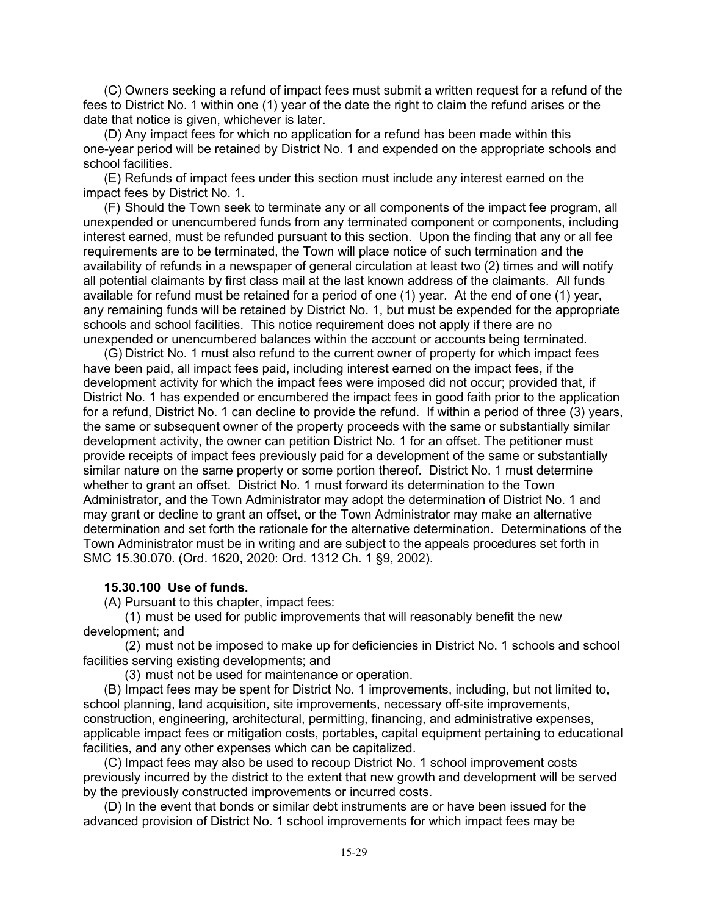(C) Owners seeking a refund of impact fees must submit a written request for a refund of the fees to District No. 1 within one (1) year of the date the right to claim the refund arises or the date that notice is given, whichever is later.

(D) Any impact fees for which no application for a refund has been made within this one-year period will be retained by District No. 1 and expended on the appropriate schools and school facilities.

(E) Refunds of impact fees under this section must include any interest earned on the impact fees by District No. 1.

(F) Should the Town seek to terminate any or all components of the impact fee program, all unexpended or unencumbered funds from any terminated component or components, including interest earned, must be refunded pursuant to this section. Upon the finding that any or all fee requirements are to be terminated, the Town will place notice of such termination and the availability of refunds in a newspaper of general circulation at least two (2) times and will notify all potential claimants by first class mail at the last known address of the claimants. All funds available for refund must be retained for a period of one (1) year. At the end of one (1) year, any remaining funds will be retained by District No. 1, but must be expended for the appropriate schools and school facilities. This notice requirement does not apply if there are no unexpended or unencumbered balances within the account or accounts being terminated.

(G) District No. 1 must also refund to the current owner of property for which impact fees have been paid, all impact fees paid, including interest earned on the impact fees, if the development activity for which the impact fees were imposed did not occur; provided that, if District No. 1 has expended or encumbered the impact fees in good faith prior to the application for a refund, District No. 1 can decline to provide the refund. If within a period of three (3) years, the same or subsequent owner of the property proceeds with the same or substantially similar development activity, the owner can petition District No. 1 for an offset. The petitioner must provide receipts of impact fees previously paid for a development of the same or substantially similar nature on the same property or some portion thereof. District No. 1 must determine whether to grant an offset. District No. 1 must forward its determination to the Town Administrator, and the Town Administrator may adopt the determination of District No. 1 and may grant or decline to grant an offset, or the Town Administrator may make an alternative determination and set forth the rationale for the alternative determination. Determinations of the Town Administrator must be in writing and are subject to the appeals procedures set forth in SMC 15.30.070. (Ord. 1620, 2020: Ord. 1312 Ch. 1 §9, 2002).

#### **15.30.100 Use of funds.**

(A) Pursuant to this chapter, impact fees:

(1) must be used for public improvements that will reasonably benefit the new development; and

(2) must not be imposed to make up for deficiencies in District No. 1 schools and school facilities serving existing developments; and

(3) must not be used for maintenance or operation.

(B) Impact fees may be spent for District No. 1 improvements, including, but not limited to, school planning, land acquisition, site improvements, necessary off-site improvements, construction, engineering, architectural, permitting, financing, and administrative expenses, applicable impact fees or mitigation costs, portables, capital equipment pertaining to educational facilities, and any other expenses which can be capitalized.

(C) Impact fees may also be used to recoup District No. 1 school improvement costs previously incurred by the district to the extent that new growth and development will be served by the previously constructed improvements or incurred costs.

(D) In the event that bonds or similar debt instruments are or have been issued for the advanced provision of District No. 1 school improvements for which impact fees may be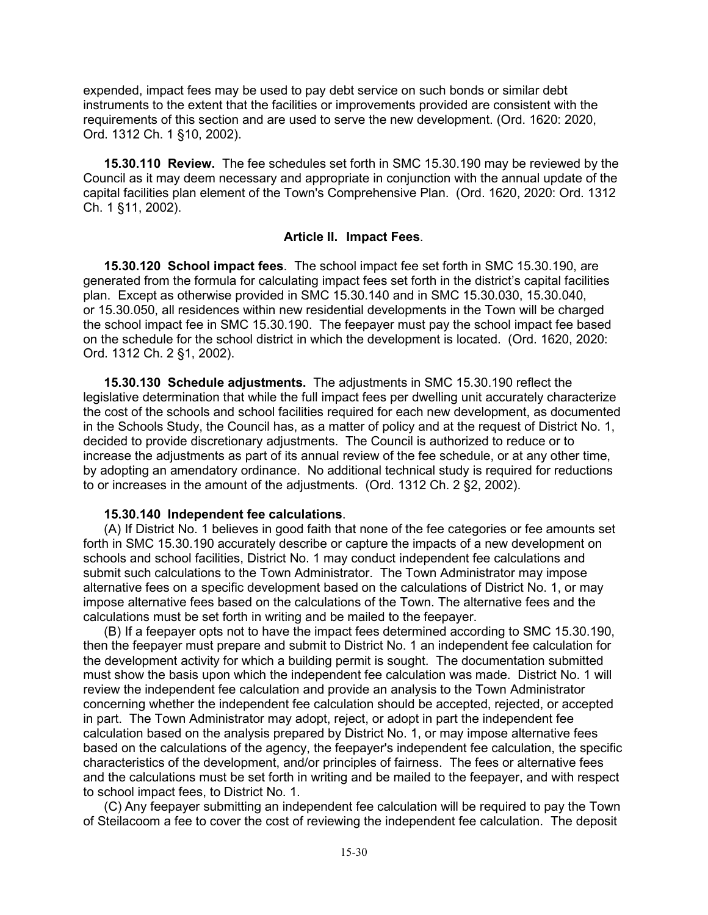expended, impact fees may be used to pay debt service on such bonds or similar debt instruments to the extent that the facilities or improvements provided are consistent with the requirements of this section and are used to serve the new development. (Ord. 1620: 2020, Ord. 1312 Ch. 1 §10, 2002).

**15.30.110 Review.** The fee schedules set forth in SMC 15.30.190 may be reviewed by the Council as it may deem necessary and appropriate in conjunction with the annual update of the capital facilities plan element of the Town's Comprehensive Plan. (Ord. 1620, 2020: Ord. 1312 Ch. 1 §11, 2002).

## **Article II. Impact Fees**.

**15.30.120 School impact fees**. The school impact fee set forth in SMC 15.30.190, are generated from the formula for calculating impact fees set forth in the district's capital facilities plan. Except as otherwise provided in SMC 15.30.140 and in SMC 15.30.030, 15.30.040, or 15.30.050, all residences within new residential developments in the Town will be charged the school impact fee in SMC 15.30.190. The feepayer must pay the school impact fee based on the schedule for the school district in which the development is located. (Ord. 1620, 2020: Ord. 1312 Ch. 2 §1, 2002).

**15.30.130 Schedule adjustments.** The adjustments in SMC 15.30.190 reflect the legislative determination that while the full impact fees per dwelling unit accurately characterize the cost of the schools and school facilities required for each new development, as documented in the Schools Study, the Council has, as a matter of policy and at the request of District No. 1, decided to provide discretionary adjustments. The Council is authorized to reduce or to increase the adjustments as part of its annual review of the fee schedule, or at any other time, by adopting an amendatory ordinance. No additional technical study is required for reductions to or increases in the amount of the adjustments. (Ord. 1312 Ch. 2 §2, 2002).

#### **15.30.140 Independent fee calculations**.

(A) If District No. 1 believes in good faith that none of the fee categories or fee amounts set forth in SMC 15.30.190 accurately describe or capture the impacts of a new development on schools and school facilities, District No. 1 may conduct independent fee calculations and submit such calculations to the Town Administrator. The Town Administrator may impose alternative fees on a specific development based on the calculations of District No. 1, or may impose alternative fees based on the calculations of the Town. The alternative fees and the calculations must be set forth in writing and be mailed to the feepayer.

(B) If a feepayer opts not to have the impact fees determined according to SMC 15.30.190, then the feepayer must prepare and submit to District No. 1 an independent fee calculation for the development activity for which a building permit is sought. The documentation submitted must show the basis upon which the independent fee calculation was made. District No. 1 will review the independent fee calculation and provide an analysis to the Town Administrator concerning whether the independent fee calculation should be accepted, rejected, or accepted in part. The Town Administrator may adopt, reject, or adopt in part the independent fee calculation based on the analysis prepared by District No. 1, or may impose alternative fees based on the calculations of the agency, the feepayer's independent fee calculation, the specific characteristics of the development, and/or principles of fairness. The fees or alternative fees and the calculations must be set forth in writing and be mailed to the feepayer, and with respect to school impact fees, to District No. 1.

(C) Any feepayer submitting an independent fee calculation will be required to pay the Town of Steilacoom a fee to cover the cost of reviewing the independent fee calculation. The deposit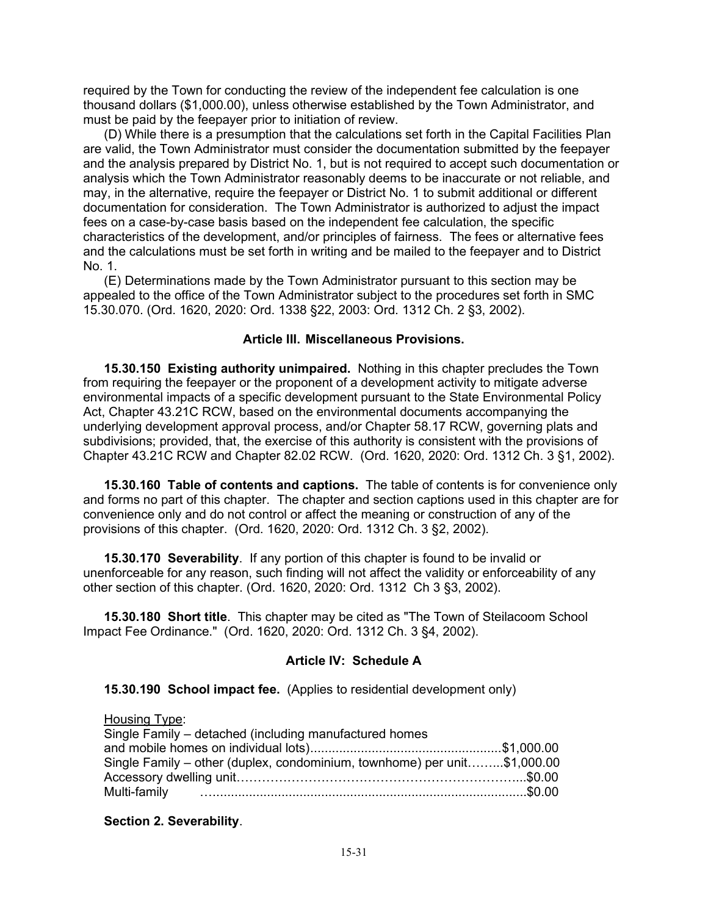required by the Town for conducting the review of the independent fee calculation is one thousand dollars (\$1,000.00), unless otherwise established by the Town Administrator, and must be paid by the feepayer prior to initiation of review.

(D) While there is a presumption that the calculations set forth in the Capital Facilities Plan are valid, the Town Administrator must consider the documentation submitted by the feepayer and the analysis prepared by District No. 1, but is not required to accept such documentation or analysis which the Town Administrator reasonably deems to be inaccurate or not reliable, and may, in the alternative, require the feepayer or District No. 1 to submit additional or different documentation for consideration. The Town Administrator is authorized to adjust the impact fees on a case-by-case basis based on the independent fee calculation, the specific characteristics of the development, and/or principles of fairness. The fees or alternative fees and the calculations must be set forth in writing and be mailed to the feepayer and to District No. 1.

(E) Determinations made by the Town Administrator pursuant to this section may be appealed to the office of the Town Administrator subject to the procedures set forth in SMC 15.30.070. (Ord. 1620, 2020: Ord. 1338 §22, 2003: Ord. 1312 Ch. 2 §3, 2002).

## **Article III. Miscellaneous Provisions.**

**15.30.150 Existing authority unimpaired.** Nothing in this chapter precludes the Town from requiring the feepayer or the proponent of a development activity to mitigate adverse environmental impacts of a specific development pursuant to the State Environmental Policy Act, Chapter 43.21C RCW, based on the environmental documents accompanying the underlying development approval process, and/or Chapter 58.17 RCW, governing plats and subdivisions; provided, that, the exercise of this authority is consistent with the provisions of Chapter 43.21C RCW and Chapter 82.02 RCW. (Ord. 1620, 2020: Ord. 1312 Ch. 3 §1, 2002).

**15.30.160 Table of contents and captions.** The table of contents is for convenience only and forms no part of this chapter. The chapter and section captions used in this chapter are for convenience only and do not control or affect the meaning or construction of any of the provisions of this chapter. (Ord. 1620, 2020: Ord. 1312 Ch. 3 §2, 2002).

**15.30.170 Severability**. If any portion of this chapter is found to be invalid or unenforceable for any reason, such finding will not affect the validity or enforceability of any other section of this chapter. (Ord. 1620, 2020: Ord. 1312 Ch 3 §3, 2002).

**15.30.180 Short title**. This chapter may be cited as "The Town of Steilacoom School Impact Fee Ordinance." (Ord. 1620, 2020: Ord. 1312 Ch. 3 §4, 2002).

# **Article IV: Schedule A**

**15.30.190 School impact fee.** (Applies to residential development only)

| Single Family – other (duplex, condominium, townhome) per unit\$1,000.00 |
|--------------------------------------------------------------------------|
|                                                                          |
|                                                                          |
|                                                                          |

**Section 2. Severability**.